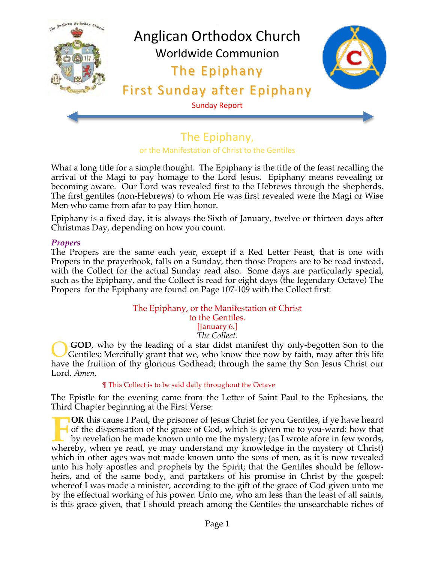

# The Epiphany, or the Manifestation of Christ to the Gentiles

What a long title for a simple thought. The Epiphany is the title of the feast recalling the arrival of the Magi to pay homage to the Lord Jesus. Epiphany means revealing or becoming aware. Our Lord was revealed first to the Hebrews through the shepherds. The first gentiles (non-Hebrews) to whom He was first revealed were the Magi or Wise Men who came from afar to pay Him honor.

Epiphany is a fixed day, it is always the Sixth of January, twelve or thirteen days after Christmas Day, depending on how you count.

#### *Propers*

The Propers are the same each year, except if a Red Letter Feast, that is one with Propers in the prayerbook, falls on a Sunday, then those Propers are to be read instead, with the Collect for the actual Sunday read also. Some days are particularly special, such as the Epiphany, and the Collect is read for eight days (the legendary Octave) The Propers for the Epiphany are found on Page 107-109 with the Collect first:

#### The Epiphany, or the Manifestation of Christ to the Gentiles. [January 6.] *The Collect.*

**GOD**, who by the leading of a star didst manifest thy only-begotten Son to the Gentiles; Mercifully grant that we, who know thee now by faith, may after this life have the fruition of thy glorious Godhead; through the same thy Son Jesus Christ our Lord. *Amen*. O

#### ¶ This Collect is to be said daily throughout the Octave

The Epistle for the evening came from the Letter of Saint Paul to the Ephesians, the Third Chapter beginning at the First Verse:

**OR** this cause I Paul, the prisoner of Jesus Christ for you Gentiles, if ye have heard of the dispensation of the grace of God, which is given me to you-ward: how that by revelation he made known unto me the mystery; (as I wrote afore in few words, whereby, when ye read, ye may understand my knowledge in the mystery of Christ) which in other ages was not made known unto the sons of men, as it is now revealed unto his holy apostles and prophets by the Spirit; that the Gentiles should be fellowheirs, and of the same body, and partakers of his promise in Christ by the gospel: whereof I was made a minister, according to the gift of the grace of God given unto me by the effectual working of his power. Unto me, who am less than the least of all saints, is this grace given, that I should preach among the Gentiles the unsearchable riches of **F**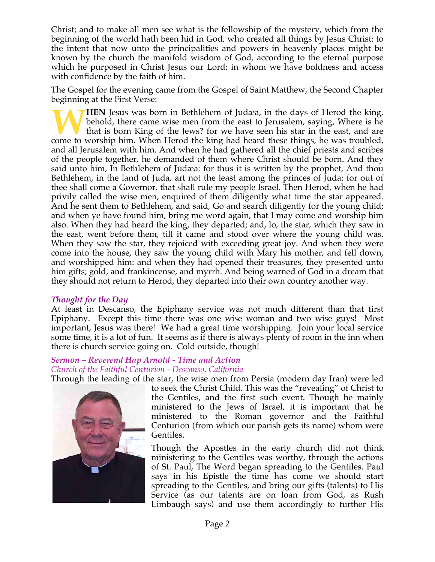Christ; and to make all men see what is the fellowship of the mystery, which from the beginning of the world hath been hid in God, who created all things by Jesus Christ: to the intent that now unto the principalities and powers in heavenly places might be known by the church the manifold wisdom of God, according to the eternal purpose which he purposed in Christ Jesus our Lord: in whom we have boldness and access with confidence by the faith of him.

The Gospel for the evening came from the Gospel of Saint Matthew, the Second Chapter beginning at the First Verse:

**HEN** Jesus was born in Bethlehem of Judæa, in the days of Herod the king, behold, there came wise men from the east to Jerusalem, saying, Where is he that is born King of the Jews? for we have seen his star in the east, and are **COME THEN** Jesus was born in Bethlehem of Judæa, in the days of Herod the king, behold, there came wise men from the east to Jerusalem, saying, Where is he that is born King of the Jews? for we have seen his star in the e and all Jerusalem with him. And when he had gathered all the chief priests and scribes of the people together, he demanded of them where Christ should be born. And they said unto him, In Bethlehem of Judæa: for thus it is written by the prophet, And thou Bethlehem, in the land of Juda, art not the least among the princes of Juda: for out of thee shall come a Governor, that shall rule my people Israel. Then Herod, when he had privily called the wise men, enquired of them diligently what time the star appeared. And he sent them to Bethlehem, and said, Go and search diligently for the young child; and when ye have found him, bring me word again, that I may come and worship him also. When they had heard the king, they departed; and, lo, the star, which they saw in the east, went before them, till it came and stood over where the young child was. When they saw the star, they rejoiced with exceeding great joy. And when they were come into the house, they saw the young child with Mary his mother, and fell down, and worshipped him: and when they had opened their treasures, they presented unto him gifts; gold, and frankincense, and myrrh. And being warned of God in a dream that they should not return to Herod, they departed into their own country another way.

#### *Thought for the Day*

At least in Descanso, the Epiphany service was not much different than that first Epiphany. Except this time there was one wise woman and two wise guys! Most important, Jesus was there! We had a great time worshipping. Join your local service some time, it is a lot of fun. It seems as if there is always plenty of room in the inn when there is church service going on. Cold outside, though!

# *Sermon – Reverend Hap Arnold - Time and Action*

*Church of the Faithful Centurion - Descanso, California*

Through the leading of the star, the wise men from Persia (modern day Iran) were led



to seek the Christ Child. This was the "revealing" of Christ to the Gentiles, and the first such event. Though he mainly ministered to the Jews of Israel, it is important that he ministered to the Roman governor and the Faithful Centurion (from which our parish gets its name) whom were Gentiles.

Though the Apostles in the early church did not think ministering to the Gentiles was worthy, through the actions of St. Paul, The Word began spreading to the Gentiles. Paul says in his Epistle the time has come we should start spreading to the Gentiles, and bring our gifts (talents) to His Service (as our talents are on loan from God, as Rush Limbaugh says) and use them accordingly to further His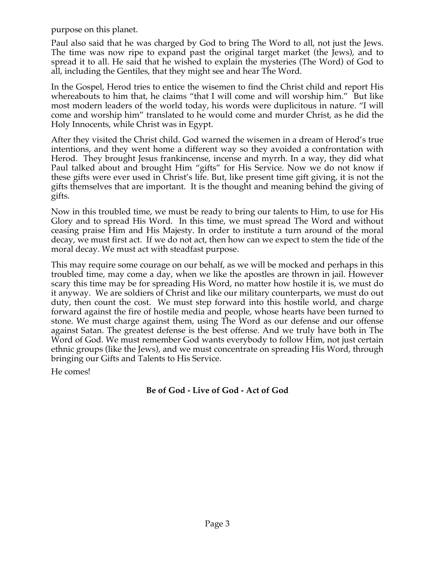purpose on this planet.

Paul also said that he was charged by God to bring The Word to all, not just the Jews. The time was now ripe to expand past the original target market (the Jews), and to spread it to all. He said that he wished to explain the mysteries (The Word) of God to all, including the Gentiles, that they might see and hear The Word.

In the Gospel, Herod tries to entice the wisemen to find the Christ child and report His whereabouts to him that, he claims "that I will come and will worship him." But like most modern leaders of the world today, his words were duplicitous in nature. "I will come and worship him" translated to he would come and murder Christ, as he did the Holy Innocents, while Christ was in Egypt.

After they visited the Christ child. God warned the wisemen in a dream of Herod's true intentions, and they went home a different way so they avoided a confrontation with Herod. They brought Jesus frankincense, incense and myrrh. In a way, they did what Paul talked about and brought Him "gifts" for His Service. Now we do not know if these gifts were ever used in Christ's life. But, like present time gift giving, it is not the gifts themselves that are important. It is the thought and meaning behind the giving of gifts.

Now in this troubled time, we must be ready to bring our talents to Him, to use for His Glory and to spread His Word. In this time, we must spread The Word and without ceasing praise Him and His Majesty. In order to institute a turn around of the moral decay, we must first act. If we do not act, then how can we expect to stem the tide of the moral decay. We must act with steadfast purpose.

This may require some courage on our behalf, as we will be mocked and perhaps in this troubled time, may come a day, when we like the apostles are thrown in jail. However scary this time may be for spreading His Word, no matter how hostile it is, we must do it anyway. We are soldiers of Christ and like our military counterparts, we must do out duty, then count the cost. We must step forward into this hostile world, and charge forward against the fire of hostile media and people, whose hearts have been turned to stone. We must charge against them, using The Word as our defense and our offense against Satan. The greatest defense is the best offense. And we truly have both in The Word of God. We must remember God wants everybody to follow Him, not just certain ethnic groups (like the Jews), and we must concentrate on spreading His Word, through bringing our Gifts and Talents to His Service.

He comes!

## **Be of God - Live of God - Act of God**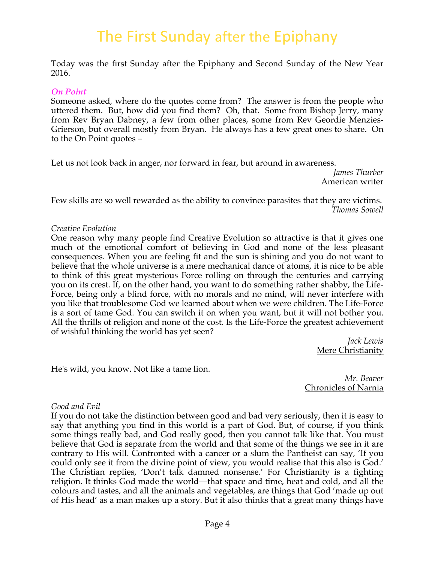# The First Sunday after the Epiphany

Today was the first Sunday after the Epiphany and Second Sunday of the New Year 2016.

#### *On Point*

Someone asked, where do the quotes come from? The answer is from the people who uttered them. But, how did you find them? Oh, that. Some from Bishop Jerry, many from Rev Bryan Dabney, a few from other places, some from Rev Geordie Menzies-Grierson, but overall mostly from Bryan. He always has a few great ones to share. On to the On Point quotes –

Let us not look back in anger, nor forward in fear, but around in awareness.

*James Thurber* American writer

Few skills are so well rewarded as the ability to convince parasites that they are victims. *Thomas Sowell*

#### *Creative Evolution*

One reason why many people find Creative Evolution so attractive is that it gives one much of the emotional comfort of believing in God and none of the less pleasant consequences. When you are feeling fit and the sun is shining and you do not want to believe that the whole universe is a mere mechanical dance of atoms, it is nice to be able to think of this great mysterious Force rolling on through the centuries and carrying you on its crest. If, on the other hand, you want to do something rather shabby, the Life-Force, being only a blind force, with no morals and no mind, will never interfere with you like that troublesome God we learned about when we were children. The Life-Force is a sort of tame God. You can switch it on when you want, but it will not bother you. All the thrills of religion and none of the cost. Is the Life-Force the greatest achievement of wishful thinking the world has yet seen?

> *Jack Lewis* Mere Christianity

He's wild, you know. Not like a tame lion.

*Mr. Beaver* Chronicles of Narnia

#### *Good and Evil*

If you do not take the distinction between good and bad very seriously, then it is easy to say that anything you find in this world is a part of God. But, of course, if you think some things really bad, and God really good, then you cannot talk like that. You must believe that God is separate from the world and that some of the things we see in it are contrary to His will. Confronted with a cancer or a slum the Pantheist can say, 'If you could only see it from the divine point of view, you would realise that this also is God.' The Christian replies, 'Don't talk damned nonsense.' For Christianity is a fighting religion. It thinks God made the world—that space and time, heat and cold, and all the colours and tastes, and all the animals and vegetables, are things that God 'made up out of His head' as a man makes up a story. But it also thinks that a great many things have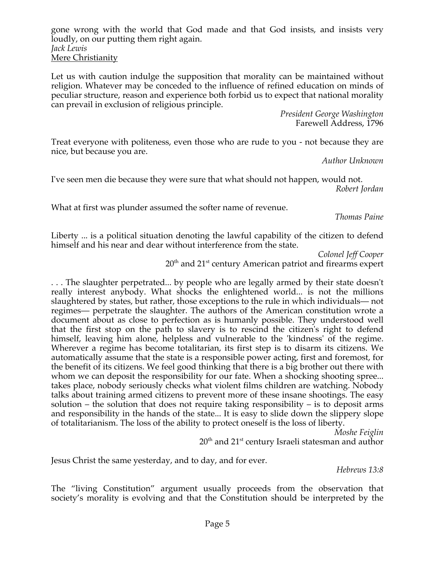gone wrong with the world that God made and that God insists, and insists very loudly, on our putting them right again. *Jack Lewis* Mere Christianity

Let us with caution indulge the supposition that morality can be maintained without religion. Whatever may be conceded to the influence of refined education on minds of peculiar structure, reason and experience both forbid us to expect that national morality can prevail in exclusion of religious principle.

> *President George Washington* Farewell Address, 1796

Treat everyone with politeness, even those who are rude to you - not because they are nice, but because you are.

*Author Unknown*

I've seen men die because they were sure that what should not happen, would not. *Robert Jordan*

What at first was plunder assumed the softer name of revenue.

*Thomas Paine*

Liberty ... is a political situation denoting the lawful capability of the citizen to defend himself and his near and dear without interference from the state.

> *Colonel Jeff Cooper*  $20<sup>th</sup>$  and  $21<sup>st</sup>$  century American patriot and firearms expert

. . . The slaughter perpetrated... by people who are legally armed by their state doesn't really interest anybody. What shocks the enlightened world... is not the millions slaughtered by states, but rather, those exceptions to the rule in which individuals— not regimes— perpetrate the slaughter. The authors of the American constitution wrote a document about as close to perfection as is humanly possible. They understood well that the first stop on the path to slavery is to rescind the citizen's right to defend himself, leaving him alone, helpless and vulnerable to the 'kindness' of the regime. Wherever a regime has become totalitarian, its first step is to disarm its citizens. We automatically assume that the state is a responsible power acting, first and foremost, for the benefit of its citizens. We feel good thinking that there is a big brother out there with whom we can deposit the responsibility for our fate. When a shocking shooting spree... takes place, nobody seriously checks what violent films children are watching. Nobody talks about training armed citizens to prevent more of these insane shootings. The easy solution – the solution that does not require taking responsibility – is to deposit arms and responsibility in the hands of the state... It is easy to slide down the slippery slope of totalitarianism. The loss of the ability to protect oneself is the loss of liberty.

*Moshe Feiglin*

 $20<sup>th</sup>$  and  $21<sup>st</sup>$  century Israeli statesman and author

Jesus Christ the same yesterday, and to day, and for ever.

*Hebrews 13:8*

The "living Constitution" argument usually proceeds from the observation that society's morality is evolving and that the Constitution should be interpreted by the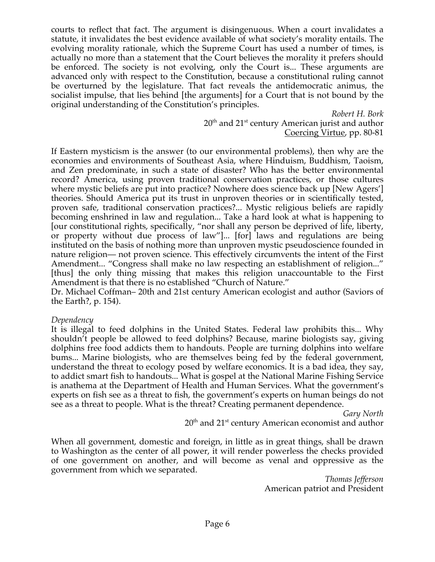courts to reflect that fact. The argument is disingenuous. When a court invalidates a statute, it invalidates the best evidence available of what society's morality entails. The evolving morality rationale, which the Supreme Court has used a number of times, is actually no more than a statement that the Court believes the morality it prefers should be enforced. The society is not evolving, only the Court is... These arguments are advanced only with respect to the Constitution, because a constitutional ruling cannot be overturned by the legislature. That fact reveals the antidemocratic animus, the socialist impulse, that lies behind [the arguments] for a Court that is not bound by the original understanding of the Constitution's principles.

> *Robert H. Bork*  $20<sup>th</sup>$  and  $21<sup>st</sup>$  century American jurist and author Coercing Virtue, pp. 80-81

If Eastern mysticism is the answer (to our environmental problems), then why are the economies and environments of Southeast Asia, where Hinduism, Buddhism, Taoism, and Zen predominate, in such a state of disaster? Who has the better environmental record? America, using proven traditional conservation practices, or those cultures where mystic beliefs are put into practice? Nowhere does science back up [New Agers'] theories. Should America put its trust in unproven theories or in scientifically tested, proven safe, traditional conservation practices?... Mystic religious beliefs are rapidly becoming enshrined in law and regulation... Take a hard look at what is happening to [our constitutional rights, specifically, "nor shall any person be deprived of life, liberty, or property without due process of law"]... [for] laws and regulations are being instituted on the basis of nothing more than unproven mystic pseudoscience founded in nature religion— not proven science. This effectively circumvents the intent of the First Amendment... "Congress shall make no law respecting an establishment of religion..." [thus] the only thing missing that makes this religion unaccountable to the First Amendment is that there is no established "Church of Nature."

Dr. Michael Coffman– 20th and 21st century American ecologist and author (Saviors of the Earth?, p. 154).

#### *Dependency*

It is illegal to feed dolphins in the United States. Federal law prohibits this... Why shouldn't people be allowed to feed dolphins? Because, marine biologists say, giving dolphins free food addicts them to handouts. People are turning dolphins into welfare bums... Marine biologists, who are themselves being fed by the federal government, understand the threat to ecology posed by welfare economics. It is a bad idea, they say, to addict smart fish to handouts... What is gospel at the National Marine Fishing Service is anathema at the Department of Health and Human Services. What the government's experts on fish see as a threat to fish, the government's experts on human beings do not see as a threat to people. What is the threat? Creating permanent dependence.

*Gary North*

20<sup>th</sup> and 21<sup>st</sup> century American economist and author

When all government, domestic and foreign, in little as in great things, shall be drawn to Washington as the center of all power, it will render powerless the checks provided of one government on another, and will become as venal and oppressive as the government from which we separated.

*Thomas Jefferson* American patriot and President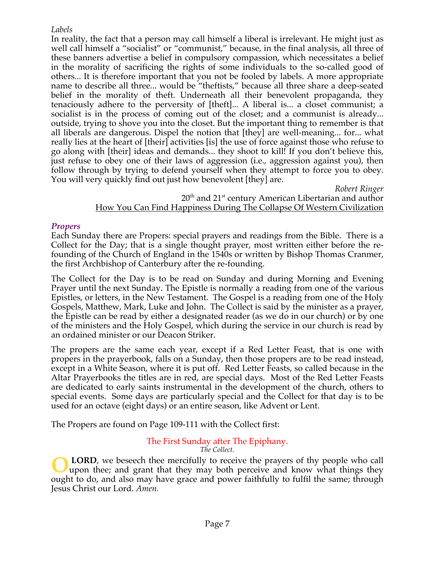## *Labels*

In reality, the fact that a person may call himself a liberal is irrelevant. He might just as well call himself a "socialist" or "communist," because, in the final analysis, all three of these banners advertise a belief in compulsory compassion, which necessitates a belief in the morality of sacrificing the rights of some individuals to the so-called good of others... It is therefore important that you not be fooled by labels. A more appropriate name to describe all three... would be "theftists," because all three share a deep-seated belief in the morality of theft. Underneath all their benevolent propaganda, they tenaciously adhere to the perversity of [theft]... A liberal is... a closet communist; a socialist is in the process of coming out of the closet; and a communist is already... outside, trying to shove you into the closet. But the important thing to remember is that all liberals are dangerous. Dispel the notion that [they] are well-meaning... for... what really lies at the heart of [their] activities [is] the use of force against those who refuse to go along with [their] ideas and demands... they shoot to kill! If you don't believe this, just refuse to obey one of their laws of aggression (i.e., aggression against you), then follow through by trying to defend yourself when they attempt to force you to obey. You will very quickly find out just how benevolent [they] are.

> *Robert Ringer*  $20<sup>th</sup>$  and  $21<sup>st</sup>$  century American Libertarian and author How You Can Find Happiness During The Collapse Of Western Civilization

## *Propers*

Each Sunday there are Propers: special prayers and readings from the Bible. There is a Collect for the Day; that is a single thought prayer, most written either before the refounding of the Church of England in the 1540s or written by Bishop Thomas Cranmer, the first Archbishop of Canterbury after the re-founding.

The Collect for the Day is to be read on Sunday and during Morning and Evening Prayer until the next Sunday. The Epistle is normally a reading from one of the various Epistles, or letters, in the New Testament. The Gospel is a reading from one of the Holy Gospels, Matthew, Mark, Luke and John. The Collect is said by the minister as a prayer, the Epistle can be read by either a designated reader (as we do in our church) or by one of the ministers and the Holy Gospel, which during the service in our church is read by an ordained minister or our Deacon Striker.

The propers are the same each year, except if a Red Letter Feast, that is one with propers in the prayerbook, falls on a Sunday, then those propers are to be read instead, except in a White Season, where it is put off. Red Letter Feasts, so called because in the Altar Prayerbooks the titles are in red, are special days. Most of the Red Letter Feasts are dedicated to early saints instrumental in the development of the church, others to special events. Some days are particularly special and the Collect for that day is to be used for an octave (eight days) or an entire season, like Advent or Lent.

The Propers are found on Page 109-111 with the Collect first:

#### The First Sunday after The Epiphany. *The Collect.*

 **LORD**, we beseech thee mercifully to receive the prayers of thy people who call upon thee; and grant that they may both perceive and know what things they ought to do, and also may have grace and power faithfully to fulfil the same; through Jesus Christ our Lord. *Amen.* **O**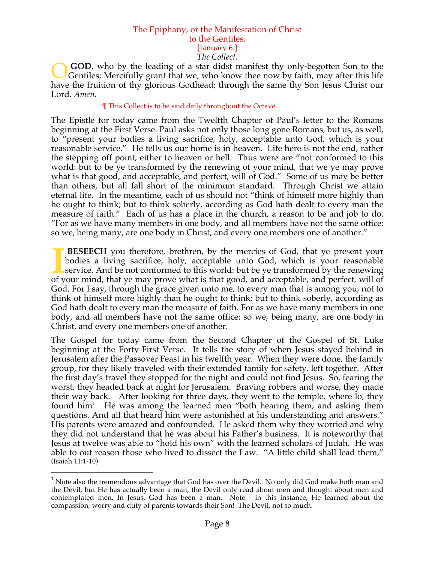#### The Epiphany, or the Manifestation of Christ to the Gentiles. [January 6.] *The Collect.*

**GOD**, who by the leading of a star didst manifest thy only-begotten Son to the Gentiles; Mercifully grant that we, who know thee now by faith, may after this life have the fruition of thy glorious Godhead; through the same thy Son Jesus Christ our Lord. *Amen*. O

#### ¶ This Collect is to be said daily throughout the Octave

The Epistle for today came from the Twelfth Chapter of Paul's letter to the Romans beginning at the First Verse. Paul asks not only those long gone Romans, but us, as well, to "present your bodies a living sacrifice, holy, acceptable unto God, which is your reasonable service." He tells us our home is in heaven. Life here is not the end, rather the stepping off point, either to heaven or hell. Thus were are "not conformed to this world: but <u>to</u> be <del>ye</del> transformed by the renewing of your mind, that <u>we</u> ye may prove what is that good, and acceptable, and perfect, will of God." Some of us may be better than others, but all fall short of the minimum standard. Through Christ we attain eternal life. In the meantime, each of us should not "think of himself more highly than he ought to think; but to think soberly, according as God hath dealt to every man the measure of faith." Each of us has a place in the church, a reason to be and job to do. "For as we have many members in one body, and all members have not the same office: so we, being many, are one body in Christ, and every one members one of another."

**BESEECH** you therefore, brethren, by the mercies of God, that ye present your bodies a living sacrifice, holy, acceptable unto God, which is your reasonable service. And be not conformed to this world: but be ye transformed by the renewing **BESEECH** you therefore, brethren, by the mercies of God, that ye present your bodies a living sacrifice, holy, acceptable unto God, which is your reasonable service. And be not conformed to this world: but be ye transform God. For I say, through the grace given unto me, to every man that is among you, not to think of himself more highly than he ought to think; but to think soberly, according as God hath dealt to every man the measure of faith. For as we have many members in one body, and all members have not the same office: so we, being many, are one body in Christ, and every one members one of another.

The Gospel for today came from the Second Chapter of the Gospel of St. Luke beginning at the Forty-First Verse. It tells the story of when Jesus stayed behind in Jerusalem after the Passover Feast in his twelfth year. When they were done, the family group, for they likely traveled with their extended family for safety, left together. After the first day's travel they stopped for the night and could not find Jesus. So, fearing the worst, they headed back at night for Jerusalem. Braving robbers and worse, they made their way back. After looking for three days, they went to the temple, where lo, they found him<sup>1</sup>. He was among the learned men "both hearing them, and asking them questions. And all that heard him were astonished at his understanding and answers." His parents were amazed and confounded. He asked them why they worried and why they did not understand that he was about his Father's business. It is noteworthy that Jesus at twelve was able to "hold his own" with the learned scholars of Judah. He was able to out reason those who lived to dissect the Law. "A little child shall lead them," (Isaiah 11:1-10)

<sup>&</sup>lt;sup>1</sup> Note also the tremendous advantage that God has over the Devil. No only did God make both man and the Devil, but He has actually been a man, the Devil only read about men and thought about men and contemplated men. In Jesus, God has been a man. Note - in this instance, He learned about the compassion, worry and duty of parents towards their Son! The Devil, not so much.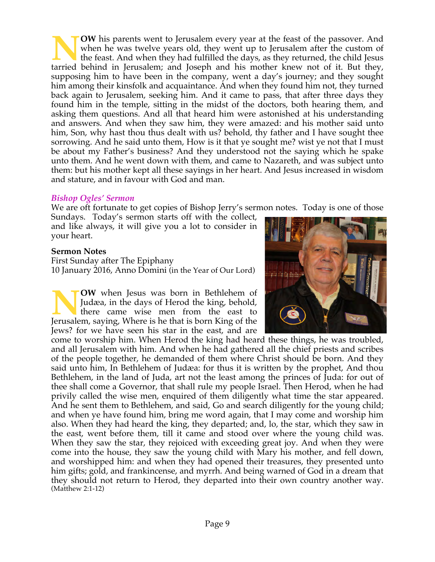**OW** his parents went to Jerusalem every year at the feast of the passover. And when he was twelve years old, they went up to Jerusalem after the custom of the feast. And when they had fulfilled the days, as they returned, the child Jesus TOW his parents went to Jerusalem every year at the feast of the passover. And when he was twelve years old, they went up to Jerusalem after the custom of the feast. And when they had fulfilled the days, as they returned, supposing him to have been in the company, went a day's journey; and they sought him among their kinsfolk and acquaintance. And when they found him not, they turned back again to Jerusalem, seeking him. And it came to pass, that after three days they found him in the temple, sitting in the midst of the doctors, both hearing them, and asking them questions. And all that heard him were astonished at his understanding and answers. And when they saw him, they were amazed: and his mother said unto him, Son, why hast thou thus dealt with us? behold, thy father and I have sought thee sorrowing. And he said unto them, How is it that ye sought me? wist ye not that I must be about my Father's business? And they understood not the saying which he spake unto them. And he went down with them, and came to Nazareth, and was subject unto them: but his mother kept all these sayings in her heart. And Jesus increased in wisdom and stature, and in favour with God and man.

#### *Bishop Ogles' Sermon*

We are oft fortunate to get copies of Bishop Jerry's sermon notes. Today is one of those

Sundays. Today's sermon starts off with the collect, and like always, it will give you a lot to consider in your heart.

#### **Sermon Notes**

First Sunday after The Epiphany 10 January 2016, Anno Domini (in the Year of Our Lord)

**OW** when Jesus was born in Bethlehem of Judæa, in the days of Herod the king, behold, there came wise men from the east to **NOW** when Jesus was born in Bethlehem of Judæa, in the days of Herod the king, behold, there came wise men from the east to Jerusalem, saying, Where is he that is born King of the Jews? for we have seen his star in the east, and are

come to worship him. When Herod the king had heard these things, he was troubled, and all Jerusalem with him. And when he had gathered all the chief priests and scribes of the people together, he demanded of them where Christ should be born. And they said unto him, In Bethlehem of Judæa: for thus it is written by the prophet, And thou Bethlehem, in the land of Juda, art not the least among the princes of Juda: for out of thee shall come a Governor, that shall rule my people Israel. Then Herod, when he had privily called the wise men, enquired of them diligently what time the star appeared. And he sent them to Bethlehem, and said, Go and search diligently for the young child; and when ye have found him, bring me word again, that I may come and worship him also. When they had heard the king, they departed; and, lo, the star, which they saw in the east, went before them, till it came and stood over where the young child was. When they saw the star, they rejoiced with exceeding great joy. And when they were come into the house, they saw the young child with Mary his mother, and fell down, and worshipped him: and when they had opened their treasures, they presented unto him gifts; gold, and frankincense, and myrrh. And being warned of God in a dream that they should not return to Herod, they departed into their own country another way. (Matthew 2:1-12)

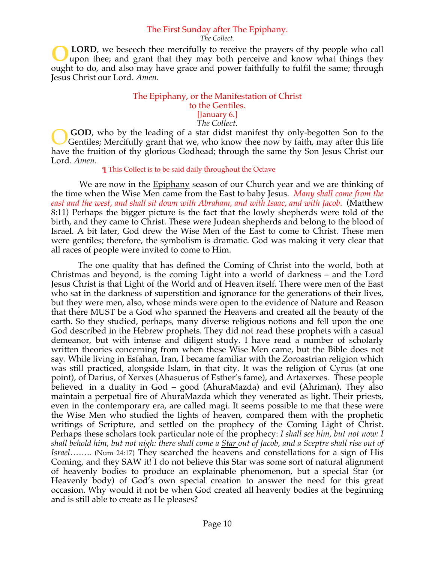#### The First Sunday after The Epiphany.

*The Collect.*

 **LORD**, we beseech thee mercifully to receive the prayers of thy people who call upon thee; and grant that they may both perceive and know what things they ought to do, and also may have grace and power faithfully to fulfil the same; through Jesus Christ our Lord. *Amen.* **O**

#### The Epiphany, or the Manifestation of Christ to the Gentiles. [January 6.]

*The Collect.*

**GOD**, who by the leading of a star didst manifest thy only-begotten Son to the Gentiles; Mercifully grant that we, who know thee now by faith, may after this life have the fruition of thy glorious Godhead; through the same thy Son Jesus Christ our Lord. *Amen*. O

#### ¶ This Collect is to be said daily throughout the Octave

 We are now in the Epiphany season of our Church year and we are thinking of the time when the Wise Men came from the East to baby Jesus. *Many shall come from the east and the west, and shall sit down with Abraham, and with Isaac, and with Jacob*. (Matthew 8:11) Perhaps the bigger picture is the fact that the lowly shepherds were told of the birth, and they came to Christ. These were Judean shepherds and belong to the blood of Israel. A bit later, God drew the Wise Men of the East to come to Christ. These men were gentiles; therefore, the symbolism is dramatic. God was making it very clear that all races of people were invited to come to Him.

 The one quality that has defined the Coming of Christ into the world, both at Christmas and beyond, is the coming Light into a world of darkness – and the Lord Jesus Christ is that Light of the World and of Heaven itself. There were men of the East who sat in the darkness of superstition and ignorance for the generations of their lives, but they were men, also, whose minds were open to the evidence of Nature and Reason that there MUST be a God who spanned the Heavens and created all the beauty of the earth. So they studied, perhaps, many diverse religious notions and fell upon the one God described in the Hebrew prophets. They did not read these prophets with a casual demeanor, but with intense and diligent study. I have read a number of scholarly written theories concerning from when these Wise Men came, but the Bible does not say. While living in Esfahan, Iran, I became familiar with the Zoroastrian religion which was still practiced, alongside Islam, in that city. It was the religion of Cyrus (at one point), of Darius, of Xerxes (Ahasuerus of Esther's fame), and Artaxerxes. These people believed in a duality in God – good (AhuraMazda) and evil (Ahriman). They also maintain a perpetual fire of AhuraMazda which they venerated as light. Their priests, even in the contemporary era, are called magi. It seems possible to me that these were the Wise Men who studied the lights of heaven, compared them with the prophetic writings of Scripture, and settled on the prophecy of the Coming Light of Christ. Perhaps these scholars took particular note of the prophecy: *I shall see him, but not now: I shall behold him, but not nigh: there shall come a Star out of Jacob, and a Sceptre shall rise out of Israel*…….. (Num 24:17) They searched the heavens and constellations for a sign of His Coming, and they SAW it! I do not believe this Star was some sort of natural alignment of heavenly bodies to produce an explainable phenomenon, but a special Star (or Heavenly body) of God's own special creation to answer the need for this great occasion. Why would it not be when God created all heavenly bodies at the beginning and is still able to create as He pleases?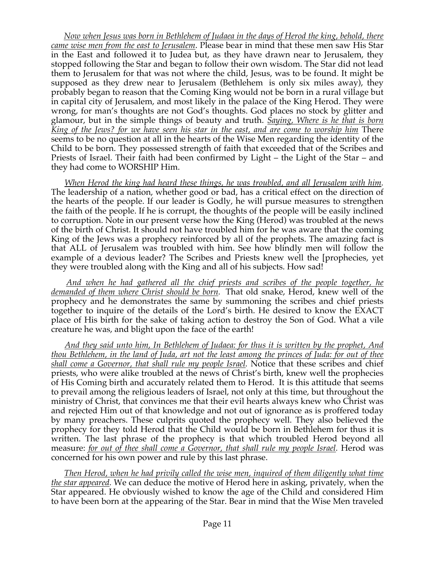*Now when Jesus was born in Bethlehem of Judaea in the days of Herod the king, behold, there came wise men from the east to Jerusalem*. Please bear in mind that these men saw His Star in the East and followed it to Judea but, as they have drawn near to Jerusalem, they stopped following the Star and began to follow their own wisdom. The Star did not lead them to Jerusalem for that was not where the child, Jesus, was to be found. It might be supposed as they drew near to Jerusalem (Bethlehem is only six miles away), they probably began to reason that the Coming King would not be born in a rural village but in capital city of Jerusalem, and most likely in the palace of the King Herod. They were wrong, for man's thoughts are not God's thoughts. God places no stock by glitter and glamour, but in the simple things of beauty and truth. *Saying, Where is he that is born King of the Jews? for we have seen his star in the east, and are come to worship him* There seems to be no question at all in the hearts of the Wise Men regarding the identity of the Child to be born. They possessed strength of faith that exceeded that of the Scribes and Priests of Israel. Their faith had been confirmed by Light – the Light of the Star – and they had come to WORSHIP Him.

 *When Herod the king had heard these things, he was troubled, and all Jerusalem with him.* The leadership of a nation, whether good or bad, has a critical effect on the direction of the hearts of the people. If our leader is Godly, he will pursue measures to strengthen the faith of the people. If he is corrupt, the thoughts of the people will be easily inclined to corruption. Note in our present verse how the King (Herod) was troubled at the news of the birth of Christ. It should not have troubled him for he was aware that the coming King of the Jews was a prophecy reinforced by all of the prophets. The amazing fact is that ALL of Jerusalem was troubled with him. See how blindly men will follow the example of a devious leader? The Scribes and Priests knew well the [prophecies, yet they were troubled along with the King and all of his subjects. How sad!

 *And when he had gathered all the chief priests and scribes of the people together, he demanded of them where Christ should be born.* That old snake, Herod, knew well of the prophecy and he demonstrates the same by summoning the scribes and chief priests together to inquire of the details of the Lord's birth. He desired to know the EXACT place of His birth for the sake of taking action to destroy the Son of God. What a vile creature he was, and blight upon the face of the earth!

 *And they said unto him, In Bethlehem of Judaea: for thus it is written by the prophet, And thou Bethlehem, in the land of Juda, art not the least among the princes of Juda: for out of thee shall come a Governor, that shall rule my people Israel.* Notice that these scribes and chief priests, who were alike troubled at the news of Christ's birth, knew well the prophecies of His Coming birth and accurately related them to Herod. It is this attitude that seems to prevail among the religious leaders of Israel, not only at this time, but throughout the ministry of Christ, that convinces me that their evil hearts always knew who Christ was and rejected Him out of that knowledge and not out of ignorance as is proffered today by many preachers. These culprits quoted the prophecy well. They also believed the prophecy for they told Herod that the Child would be born in Bethlehem for thus it is written. The last phrase of the prophecy is that which troubled Herod beyond all measure: *for out of thee shall come a Governor, that shall rule my people Israel.* Herod was concerned for his own power and rule by this last phrase.

 *Then Herod, when he had privily called the wise men, inquired of them diligently what time the star appeared.* We can deduce the motive of Herod here in asking, privately, when the Star appeared. He obviously wished to know the age of the Child and considered Him to have been born at the appearing of the Star. Bear in mind that the Wise Men traveled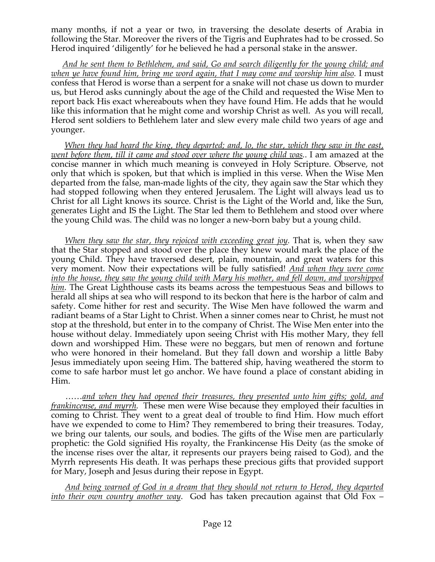many months, if not a year or two, in traversing the desolate deserts of Arabia in following the Star. Moreover the rivers of the Tigris and Euphrates had to be crossed. So Herod inquired 'diligently' for he believed he had a personal stake in the answer.

 *And he sent them to Bethlehem, and said, Go and search diligently for the young child; and when ye have found him, bring me word again, that I may come and worship him also.* I must confess that Herod is worse than a serpent for a snake will not chase us down to murder us, but Herod asks cunningly about the age of the Child and requested the Wise Men to report back His exact whereabouts when they have found Him. He adds that he would like this information that he might come and worship Christ as well. As you will recall, Herod sent soldiers to Bethlehem later and slew every male child two years of age and younger.

 *When they had heard the king, they departed; and, lo, the star, which they saw in the east, went before them, till it came and stood over where the young child was.*. I am amazed at the concise manner in which much meaning is conveyed in Holy Scripture. Observe, not only that which is spoken, but that which is implied in this verse. When the Wise Men departed from the false, man-made lights of the city, they again saw the Star which they had stopped following when they entered Jerusalem. The Light will always lead us to Christ for all Light knows its source. Christ is the Light of the World and, like the Sun, generates Light and IS the Light. The Star led them to Bethlehem and stood over where the young Child was. The child was no longer a new-born baby but a young child.

 *When they saw the star, they rejoiced with exceeding great joy.* That is, when they saw that the Star stopped and stood over the place they knew would mark the place of the young Child. They have traversed desert, plain, mountain, and great waters for this very moment. Now their expectations will be fully satisfied! *And when they were come into the house, they saw the young child with Mary his mother, and fell down, and worshipped him*. The Great Lighthouse casts its beams across the tempestuous Seas and billows to herald all ships at sea who will respond to its beckon that here is the harbor of calm and safety. Come hither for rest and security. The Wise Men have followed the warm and radiant beams of a Star Light to Christ. When a sinner comes near to Christ, he must not stop at the threshold, but enter in to the company of Christ. The Wise Men enter into the house without delay. Immediately upon seeing Christ with His mother Mary, they fell down and worshipped Him. These were no beggars, but men of renown and fortune who were honored in their homeland. But they fall down and worship a little Baby Jesus immediately upon seeing Him. The battered ship, having weathered the storm to come to safe harbor must let go anchor. We have found a place of constant abiding in Him.

 ……*and when they had opened their treasures, they presented unto him gifts; gold, and frankincense, and myrrh.* These men were Wise because they employed their faculties in coming to Christ. They went to a great deal of trouble to find Him. How much effort have we expended to come to Him? They remembered to bring their treasures. Today, we bring our talents, our souls, and bodies. The gifts of the Wise men are particularly prophetic: the Gold signified His royalty, the Frankincense His Deity (as the smoke of the incense rises over the altar, it represents our prayers being raised to God), and the Myrrh represents His death. It was perhaps these precious gifts that provided support for Mary, Joseph and Jesus during their repose in Egypt.

 *And being warned of God in a dream that they should not return to Herod, they departed into their own country another way*. God has taken precaution against that Old Fox –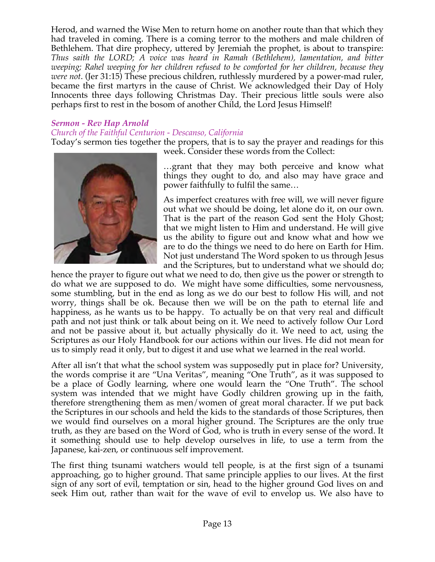Herod, and warned the Wise Men to return home on another route than that which they had traveled in coming. There is a coming terror to the mothers and male children of Bethlehem. That dire prophecy, uttered by Jeremiah the prophet, is about to transpire: *Thus saith the LORD; A voice was heard in Ramah (Bethlehem), lamentation, and bitter weeping; Rahel weeping for her children refused to be comforted for her children, because they were not*. (Jer 31:15) These precious children, ruthlessly murdered by a power-mad ruler, became the first martyrs in the cause of Christ. We acknowledged their Day of Holy Innocents three days following Christmas Day. Their precious little souls were also perhaps first to rest in the bosom of another Child, the Lord Jesus Himself!

## *Sermon - Rev Hap Arnold*

### *Church of the Faithful Centurion - Descanso, California*

Today's sermon ties together the propers, that is to say the prayer and readings for this



week. Consider these words from the Collect:

…grant that they may both perceive and know what things they ought to do, and also may have grace and power faithfully to fulfil the same…

As imperfect creatures with free will, we will never figure out what we should be doing, let alone do it, on our own. That is the part of the reason God sent the Holy Ghost; that we might listen to Him and understand. He will give us the ability to figure out and know what and how we are to do the things we need to do here on Earth for Him. Not just understand The Word spoken to us through Jesus and the Scriptures, but to understand what we should do;

hence the prayer to figure out what we need to do, then give us the power or strength to do what we are supposed to do. We might have some difficulties, some nervousness, some stumbling, but in the end as long as we do our best to follow His will, and not worry, things shall be ok. Because then we will be on the path to eternal life and happiness, as he wants us to be happy. To actually be on that very real and difficult path and not just think or talk about being on it. We need to actively follow Our Lord and not be passive about it, but actually physically do it. We need to act, using the Scriptures as our Holy Handbook for our actions within our lives. He did not mean for us to simply read it only, but to digest it and use what we learned in the real world.

After all isn't that what the school system was supposedly put in place for? University, the words comprise it are "Una Veritas", meaning "One Truth", as it was supposed to be a place of Godly learning, where one would learn the "One Truth". The school system was intended that we might have Godly children growing up in the faith, therefore strengthening them as men/women of great moral character. If we put back the Scriptures in our schools and held the kids to the standards of those Scriptures, then we would find ourselves on a moral higher ground. The Scriptures are the only true truth, as they are based on the Word of God, who is truth in every sense of the word. It it something should use to help develop ourselves in life, to use a term from the Japanese, kai-zen, or continuous self improvement.

The first thing tsunami watchers would tell people, is at the first sign of a tsunami approaching, go to higher ground. That same principle applies to our lives. At the first sign of any sort of evil, temptation or sin, head to the higher ground God lives on and seek Him out, rather than wait for the wave of evil to envelop us. We also have to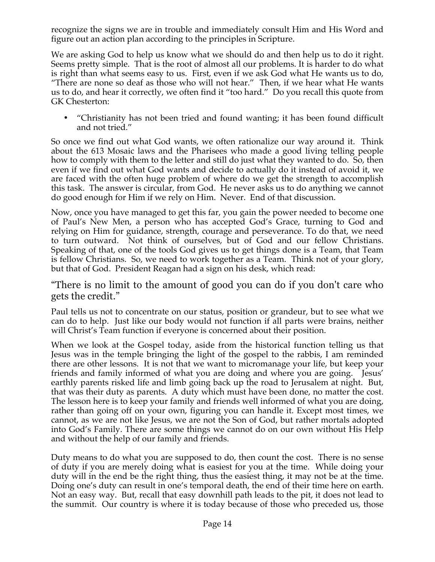recognize the signs we are in trouble and immediately consult Him and His Word and figure out an action plan according to the principles in Scripture.

We are asking God to help us know what we should do and then help us to do it right. Seems pretty simple. That is the root of almost all our problems. It is harder to do what is right than what seems easy to us. First, even if we ask God what He wants us to do, "There are none so deaf as those who will not hear." Then, if we hear what He wants us to do, and hear it correctly, we often find it "too hard." Do you recall this quote from GK Chesterton:

• "Christianity has not been tried and found wanting; it has been found difficult and not tried."

So once we find out what God wants, we often rationalize our way around it. Think about the 613 Mosaic laws and the Pharisees who made a good living telling people how to comply with them to the letter and still do just what they wanted to do. So, then even if we find out what God wants and decide to actually do it instead of avoid it, we are faced with the often huge problem of where do we get the strength to accomplish this task. The answer is circular, from God. He never asks us to do anything we cannot do good enough for Him if we rely on Him. Never. End of that discussion.

Now, once you have managed to get this far, you gain the power needed to become one of Paul's New Men, a person who has accepted God's Grace, turning to God and relying on Him for guidance, strength, courage and perseverance. To do that, we need to turn outward. Not think of ourselves, but of God and our fellow Christians. Speaking of that, one of the tools God gives us to get things done is a Team, that Team is fellow Christians. So, we need to work together as a Team. Think not of your glory, but that of God. President Reagan had a sign on his desk, which read:

"There is no limit to the amount of good you can do if you don't care who gets the credit."

Paul tells us not to concentrate on our status, position or grandeur, but to see what we can do to help. Just like our body would not function if all parts were brains, neither will Christ's Team function if everyone is concerned about their position.

When we look at the Gospel today, aside from the historical function telling us that Jesus was in the temple bringing the light of the gospel to the rabbis, I am reminded there are other lessons. It is not that we want to micromanage your life, but keep your friends and family informed of what you are doing and where you are going. Jesus' earthly parents risked life and limb going back up the road to Jerusalem at night. But, that was their duty as parents. A duty which must have been done, no matter the cost. The lesson here is to keep your family and friends well informed of what you are doing, rather than going off on your own, figuring you can handle it. Except most times, we cannot, as we are not like Jesus, we are not the Son of God, but rather mortals adopted into God's Family. There are some things we cannot do on our own without His Help and without the help of our family and friends.

Duty means to do what you are supposed to do, then count the cost. There is no sense of duty if you are merely doing what is easiest for you at the time. While doing your duty will in the end be the right thing, thus the easiest thing, it may not be at the time. Doing one's duty can result in one's temporal death, the end of their time here on earth. Not an easy way. But, recall that easy downhill path leads to the pit, it does not lead to the summit. Our country is where it is today because of those who preceded us, those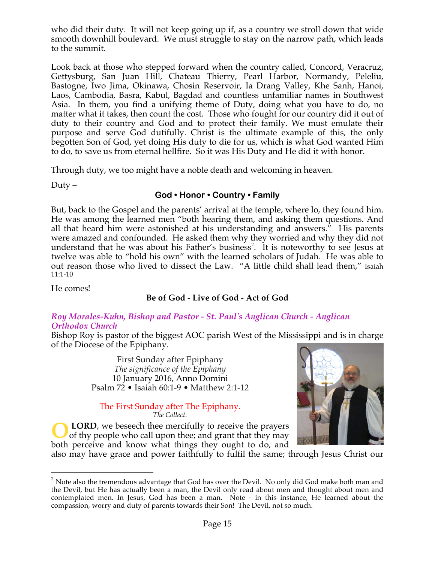who did their duty. It will not keep going up if, as a country we stroll down that wide smooth downhill boulevard. We must struggle to stay on the narrow path, which leads to the summit.

Look back at those who stepped forward when the country called, Concord, Veracruz, Gettysburg, San Juan Hill, Chateau Thierry, Pearl Harbor, Normandy, Peleliu, Bastogne, Iwo Jima, Okinawa, Chosin Reservoir, Ia Drang Valley, Khe Sanh, Hanoi, Laos, Cambodia, Basra, Kabul, Bagdad and countless unfamiliar names in Southwest Asia. In them, you find a unifying theme of Duty, doing what you have to do, no matter what it takes, then count the cost. Those who fought for our country did it out of duty to their country and God and to protect their family. We must emulate their purpose and serve God dutifully. Christ is the ultimate example of this, the only begotten Son of God, yet doing His duty to die for us, which is what God wanted Him to do, to save us from eternal hellfire. So it was His Duty and He did it with honor.

Through duty, we too might have a noble death and welcoming in heaven.

 $Duty -$ 

## **God • Honor • Country • Family**

But, back to the Gospel and the parents' arrival at the temple, where lo, they found him. He was among the learned men "both hearing them, and asking them questions. And all that heard him were astonished at his understanding and answers." His parents were amazed and confounded. He asked them why they worried and why they did not understand that he was about his Father's business<sup>2</sup>. It is noteworthy to see Jesus at twelve was able to "hold his own" with the learned scholars of Judah. He was able to out reason those who lived to dissect the Law. "A little child shall lead them," Isaiah 11:1-10

He comes!

## **Be of God - Live of God - Act of God**

#### *Roy Morales-Kuhn, Bishop and Pastor - St. Paul's Anglican Church - Anglican Orthodox Church*

Bishop Roy is pastor of the biggest AOC parish West of the Mississippi and is in charge of the Diocese of the Epiphany.

> First Sunday after Epiphany *The significance of the Epiphany* 10 January 2016, Anno Domini Psalm 72 • Isaiah 60:1-9 • Matthew 2:1-12

The First Sunday after The Epiphany. *The Collect.*

 **LORD**, we beseech thee mercifully to receive the prayers of thy people who call upon thee; and grant that they may both perceive and know what things they ought to do, and **O**



also may have grace and power faithfully to fulfil the same; through Jesus Christ our

 $2$  Note also the tremendous advantage that God has over the Devil. No only did God make both man and the Devil, but He has actually been a man, the Devil only read about men and thought about men and contemplated men. In Jesus, God has been a man. Note - in this instance, He learned about the compassion, worry and duty of parents towards their Son! The Devil, not so much.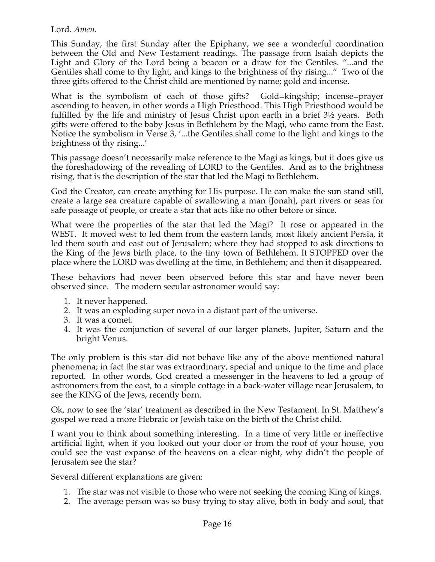## Lord. *Amen.*

This Sunday, the first Sunday after the Epiphany, we see a wonderful coordination between the Old and New Testament readings. The passage from Isaiah depicts the Light and Glory of the Lord being a beacon or a draw for the Gentiles. "...and the Gentiles shall come to thy light, and kings to the brightness of thy rising..." Two of the three gifts offered to the Christ child are mentioned by name; gold and incense.

What is the symbolism of each of those gifts? Gold=kingship; incense=prayer ascending to heaven, in other words a High Priesthood. This High Priesthood would be fulfilled by the life and ministry of Jesus Christ upon earth in a brief 3½ years. Both gifts were offered to the baby Jesus in Bethlehem by the Magi, who came from the East. Notice the symbolism in Verse 3, '...the Gentiles shall come to the light and kings to the brightness of thy rising...'

This passage doesn't necessarily make reference to the Magi as kings, but it does give us the foreshadowing of the revealing of LORD to the Gentiles. And as to the brightness rising, that is the description of the star that led the Magi to Bethlehem.

God the Creator, can create anything for His purpose. He can make the sun stand still, create a large sea creature capable of swallowing a man {Jonah}, part rivers or seas for safe passage of people, or create a star that acts like no other before or since.

What were the properties of the star that led the Magi? It rose or appeared in the WEST. It moved west to led them from the eastern lands, most likely ancient Persia, it led them south and east out of Jerusalem; where they had stopped to ask directions to the King of the Jews birth place, to the tiny town of Bethlehem. It STOPPED over the place where the LORD was dwelling at the time, in Bethlehem; and then it disappeared.

These behaviors had never been observed before this star and have never been observed since. The modern secular astronomer would say:

- 1. It never happened.
- 2. It was an exploding super nova in a distant part of the universe.
- 3. It was a comet.
- 4. It was the conjunction of several of our larger planets, Jupiter, Saturn and the bright Venus.

The only problem is this star did not behave like any of the above mentioned natural phenomena; in fact the star was extraordinary, special and unique to the time and place reported. In other words, God created a messenger in the heavens to led a group of astronomers from the east, to a simple cottage in a back-water village near Jerusalem, to see the KING of the Jews, recently born.

Ok, now to see the 'star' treatment as described in the New Testament. In St. Matthew's gospel we read a more Hebraic or Jewish take on the birth of the Christ child.

I want you to think about something interesting. In a time of very little or ineffective artificial light, when if you looked out your door or from the roof of your house, you could see the vast expanse of the heavens on a clear night, why didn't the people of Jerusalem see the star?

Several different explanations are given:

- 1. The star was not visible to those who were not seeking the coming King of kings.
- 2. The average person was so busy trying to stay alive, both in body and soul, that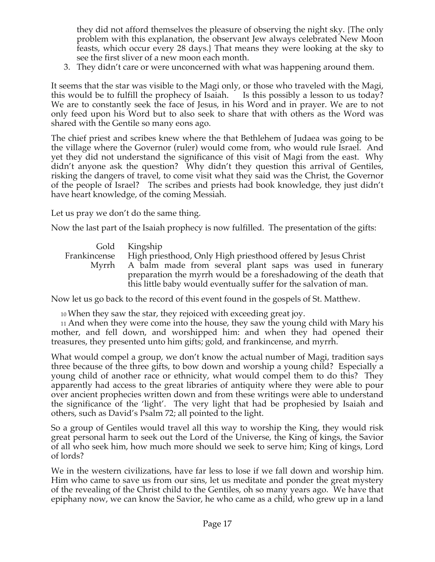they did not afford themselves the pleasure of observing the night sky. {The only problem with this explanation, the observant Jew always celebrated New Moon feasts, which occur every 28 days.} That means they were looking at the sky to see the first sliver of a new moon each month.

3. They didn't care or were unconcerned with what was happening around them.

It seems that the star was visible to the Magi only, or those who traveled with the Magi, this would be to fulfill the prophecy of Isaiah. Is this possibly a lesson to us today? We are to constantly seek the face of Jesus, in his Word and in prayer. We are to not only feed upon his Word but to also seek to share that with others as the Word was shared with the Gentile so many eons ago.

The chief priest and scribes knew where the that Bethlehem of Judaea was going to be the village where the Governor (ruler) would come from, who would rule Israel. And yet they did not understand the significance of this visit of Magi from the east. Why didn't anyone ask the question? Why didn't they question this arrival of Gentiles, risking the dangers of travel, to come visit what they said was the Christ, the Governor of the people of Israel? The scribes and priests had book knowledge, they just didn't have heart knowledge, of the coming Messiah.

Let us pray we don't do the same thing.

Now the last part of the Isaiah prophecy is now fulfilled. The presentation of the gifts:

Gold Kingship Frankincense High priesthood, Only High priesthood offered by Jesus Christ Myrrh A balm made from several plant saps was used in funerary preparation the myrrh would be a foreshadowing of the death that this little baby would eventually suffer for the salvation of man.

Now let us go back to the record of this event found in the gospels of St. Matthew.

10 When they saw the star, they rejoiced with exceeding great joy.

11 And when they were come into the house, they saw the young child with Mary his mother, and fell down, and worshipped him: and when they had opened their treasures, they presented unto him gifts; gold, and frankincense, and myrrh.

What would compel a group, we don't know the actual number of Magi, tradition says three because of the three gifts, to bow down and worship a young child? Especially a young child of another race or ethnicity, what would compel them to do this? They apparently had access to the great libraries of antiquity where they were able to pour over ancient prophecies written down and from these writings were able to understand the significance of the 'light'. The very light that had be prophesied by Isaiah and others, such as David's Psalm 72; all pointed to the light.

So a group of Gentiles would travel all this way to worship the King, they would risk great personal harm to seek out the Lord of the Universe, the King of kings, the Savior of all who seek him, how much more should we seek to serve him; King of kings, Lord of lords?

We in the western civilizations, have far less to lose if we fall down and worship him. Him who came to save us from our sins, let us meditate and ponder the great mystery of the revealing of the Christ child to the Gentiles, oh so many years ago. We have that epiphany now, we can know the Savior, he who came as a child, who grew up in a land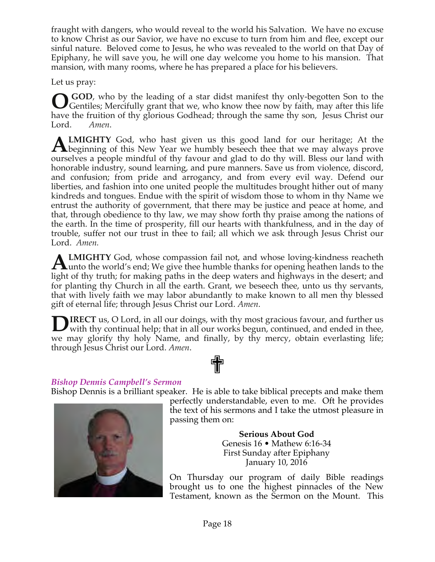fraught with dangers, who would reveal to the world his Salvation. We have no excuse to know Christ as our Savior, we have no excuse to turn from him and flee, except our sinful nature. Beloved come to Jesus, he who was revealed to the world on that Day of Epiphany, he will save you, he will one day welcome you home to his mansion. That mansion, with many rooms, where he has prepared a place for his believers.

Let us pray:

**GOD**, who by the leading of a star didst manifest thy only-begotten Son to the GGOD, who by the leading of a star didst manifest thy only-begotten Son to the Gentiles; Mercifully grant that we, who know thee now by faith, may after this life have the fruition of thy glorious Godhead; through the same thy son, Jesus Christ our Lord. *Amen*.

**LMIGHTY** God, who hast given us this good land for our heritage; At the **ALMIGHTY** God, who hast given us this good land for our heritage; At the beginning of this New Year we humbly beseech thee that we may always prove ourselves a people mindful of thy favour and glad to do thy will. Bless our land with honorable industry, sound learning, and pure manners. Save us from violence, discord, and confusion; from pride and arrogancy, and from every evil way. Defend our liberties, and fashion into one united people the multitudes brought hither out of many kindreds and tongues. Endue with the spirit of wisdom those to whom in thy Name we entrust the authority of government, that there may be justice and peace at home, and that, through obedience to thy law, we may show forth thy praise among the nations of the earth. In the time of prosperity, fill our hearts with thankfulness, and in the day of trouble, suffer not our trust in thee to fail; all which we ask through Jesus Christ our Lord. *Amen.*

**LMIGHTY** God, whose compassion fail not, and whose loving-kindness reacheth **ALMIGHTY** God, whose compassion fail not, and whose loving-kindness reacheth unto the world's end; We give thee humble thanks for opening heathen lands to the light of thy truth; for making paths in the deep waters and highways in the desert; and for planting thy Church in all the earth. Grant, we beseech thee, unto us thy servants, that with lively faith we may labor abundantly to make known to all men thy blessed gift of eternal life; through Jesus Christ our Lord. *Amen*.

**IRECT** us, O Lord, in all our doings, with thy most gracious favour, and further us with thy continual help; that in all our works begun, continued, and ended in thee, with thy continual help; that in all our works begun, continued, and ended in thee, we may glorify thy holy Name, and finally, by thy mercy, obtain everlasting life; through Jesus Christ our Lord. *Amen*. ✟

#### *Bishop Dennis Campbell's Sermon*

Bishop Dennis is a brilliant speaker. He is able to take biblical precepts and make them



perfectly understandable, even to me. Oft he provides the text of his sermons and I take the utmost pleasure in passing them on:

> **Serious About God** Genesis 16 • Mathew 6:16-34 First Sunday after Epiphany January 10, 2016

On Thursday our program of daily Bible readings brought us to one the highest pinnacles of the New Testament, known as the Sermon on the Mount. This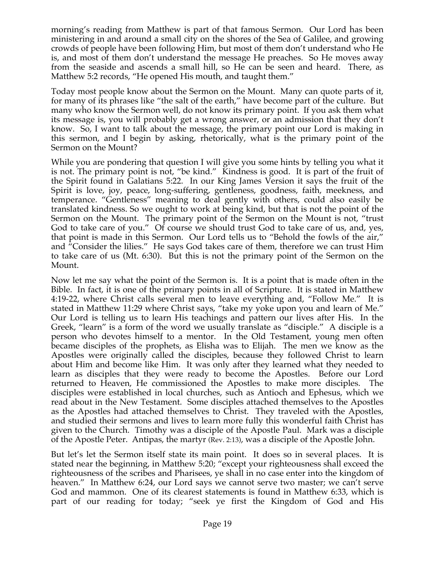morning's reading from Matthew is part of that famous Sermon. Our Lord has been ministering in and around a small city on the shores of the Sea of Galilee, and growing crowds of people have been following Him, but most of them don't understand who He is, and most of them don't understand the message He preaches. So He moves away from the seaside and ascends a small hill, so He can be seen and heard. There, as Matthew 5:2 records, "He opened His mouth, and taught them."

Today most people know about the Sermon on the Mount. Many can quote parts of it, for many of its phrases like "the salt of the earth," have become part of the culture. But many who know the Sermon well, do not know its primary point. If you ask them what its message is, you will probably get a wrong answer, or an admission that they don't know. So, I want to talk about the message, the primary point our Lord is making in this sermon, and I begin by asking, rhetorically, what is the primary point of the Sermon on the Mount?

While you are pondering that question I will give you some hints by telling you what it is not. The primary point is not, "be kind." Kindness is good. It is part of the fruit of the Spirit found in Galatians 5:22. In our King James Version it says the fruit of the Spirit is love, joy, peace, long-suffering, gentleness, goodness, faith, meekness, and temperance. "Gentleness" meaning to deal gently with others, could also easily be translated kindness. So we ought to work at being kind, but that is not the point of the Sermon on the Mount. The primary point of the Sermon on the Mount is not, "trust God to take care of you." Of course we should trust God to take care of us, and, yes, that point is made in this Sermon. Our Lord tells us to "Behold the fowls of the air," and "Consider the lilies." He says God takes care of them, therefore we can trust Him to take care of us (Mt. 6:30). But this is not the primary point of the Sermon on the Mount.

Now let me say what the point of the Sermon is. It is a point that is made often in the Bible. In fact, it is one of the primary points in all of Scripture. It is stated in Matthew 4:19-22, where Christ calls several men to leave everything and, "Follow Me." It is stated in Matthew 11:29 where Christ says, "take my yoke upon you and learn of Me." Our Lord is telling us to learn His teachings and pattern our lives after His. In the Greek, "learn" is a form of the word we usually translate as "disciple." A disciple is a person who devotes himself to a mentor. In the Old Testament, young men often became disciples of the prophets, as Elisha was to Elijah. The men we know as the Apostles were originally called the disciples, because they followed Christ to learn about Him and become like Him. It was only after they learned what they needed to learn as disciples that they were ready to become the Apostles. Before our Lord returned to Heaven, He commissioned the Apostles to make more disciples. The disciples were established in local churches, such as Antioch and Ephesus, which we read about in the New Testament. Some disciples attached themselves to the Apostles as the Apostles had attached themselves to Christ. They traveled with the Apostles, and studied their sermons and lives to learn more fully this wonderful faith Christ has given to the Church. Timothy was a disciple of the Apostle Paul. Mark was a disciple of the Apostle Peter. Antipas, the martyr (Rev. 2:13), was a disciple of the Apostle John.

But let's let the Sermon itself state its main point. It does so in several places. It is stated near the beginning, in Matthew 5:20; "except your righteousness shall exceed the righteousness of the scribes and Pharisees, ye shall in no case enter into the kingdom of heaven." In Matthew 6:24, our Lord says we cannot serve two master; we can't serve God and mammon. One of its clearest statements is found in Matthew 6:33, which is part of our reading for today; "seek ye first the Kingdom of God and His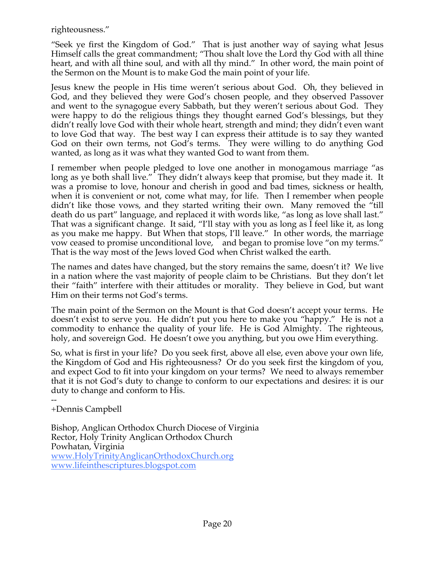righteousness."

"Seek ye first the Kingdom of God." That is just another way of saying what Jesus Himself calls the great commandment; "Thou shalt love the Lord thy God with all thine heart, and with all thine soul, and with all thy mind." In other word, the main point of the Sermon on the Mount is to make God the main point of your life.

Jesus knew the people in His time weren't serious about God. Oh, they believed in God, and they believed they were God's chosen people, and they observed Passover and went to the synagogue every Sabbath, but they weren't serious about God. They were happy to do the religious things they thought earned God's blessings, but they didn't really love God with their whole heart, strength and mind; they didn't even want to love God that way. The best way I can express their attitude is to say they wanted God on their own terms, not God's terms. They were willing to do anything God wanted, as long as it was what they wanted God to want from them.

I remember when people pledged to love one another in monogamous marriage "as long as ye both shall live." They didn't always keep that promise, but they made it. It was a promise to love, honour and cherish in good and bad times, sickness or health, when it is convenient or not, come what may, for life. Then I remember when people didn't like those vows, and they started writing their own. Many removed the "till death do us part" language, and replaced it with words like, "as long as love shall last." That was a significant change. It said, "I'll stay with you as long as I feel like it, as long as you make me happy. But When that stops, I'll leave." In other words, the marriage vow ceased to promise unconditional love, and began to promise love "on my terms." That is the way most of the Jews loved God when Christ walked the earth.

The names and dates have changed, but the story remains the same, doesn't it? We live in a nation where the vast majority of people claim to be Christians. But they don't let their "faith" interfere with their attitudes or morality. They believe in God, but want Him on their terms not God's terms.

The main point of the Sermon on the Mount is that God doesn't accept your terms. He doesn't exist to serve you. He didn't put you here to make you "happy." He is not a commodity to enhance the quality of your life. He is God Almighty. The righteous, holy, and sovereign God. He doesn't owe you anything, but you owe Him everything.

So, what is first in your life? Do you seek first, above all else, even above your own life, the Kingdom of God and His righteousness? Or do you seek first the kingdom of you, and expect God to fit into your kingdom on your terms? We need to always remember that it is not God's duty to change to conform to our expectations and desires: it is our duty to change and conform to His.

-- +Dennis Campbell

Bishop, Anglican Orthodox Church Diocese of Virginia Rector, Holy Trinity Anglican Orthodox Church Powhatan, Virginia www.HolyTrinityAnglicanOrthodoxChurch.org www.lifeinthescriptures.blogspot.com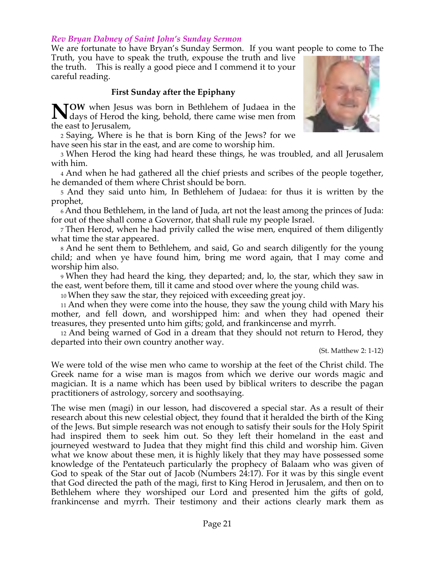#### *Rev Bryan Dabney of Saint John's Sunday Sermon*

We are fortunate to have Bryan's Sunday Sermon. If you want people to come to The

Truth, you have to speak the truth, expouse the truth and live the truth. This is really a good piece and I commend it to your careful reading.

#### **First Sunday after the Epiphany**

**NOW** when Jesus was born in Bethlehem of Judaea in the days of Herod the king, behold, there came wise men from days of Herod the king, behold, there came wise men from the east to Jerusalem,

2 Saying, Where is he that is born King of the Jews? for we have seen his star in the east, and are come to worship him.

3 When Herod the king had heard these things, he was troubled, and all Jerusalem with him.

4 And when he had gathered all the chief priests and scribes of the people together, he demanded of them where Christ should be born.

5 And they said unto him, In Bethlehem of Judaea: for thus it is written by the prophet,

6 And thou Bethlehem, in the land of Juda, art not the least among the princes of Juda: for out of thee shall come a Governor, that shall rule my people Israel.

7 Then Herod, when he had privily called the wise men, enquired of them diligently what time the star appeared.

8 And he sent them to Bethlehem, and said, Go and search diligently for the young child; and when ye have found him, bring me word again, that I may come and worship him also.

9 When they had heard the king, they departed; and, lo, the star, which they saw in the east, went before them, till it came and stood over where the young child was.

10 When they saw the star, they rejoiced with exceeding great joy.

11 And when they were come into the house, they saw the young child with Mary his mother, and fell down, and worshipped him: and when they had opened their treasures, they presented unto him gifts; gold, and frankincense and myrrh.

12 And being warned of God in a dream that they should not return to Herod, they departed into their own country another way.

(St. Matthew 2: 1-12)

We were told of the wise men who came to worship at the feet of the Christ child. The Greek name for a wise man is magos from which we derive our words magic and magician. It is a name which has been used by biblical writers to describe the pagan practitioners of astrology, sorcery and soothsaying.

The wise men (magi) in our lesson, had discovered a special star. As a result of their research about this new celestial object, they found that it heralded the birth of the King of the Jews. But simple research was not enough to satisfy their souls for the Holy Spirit had inspired them to seek him out. So they left their homeland in the east and journeyed westward to Judea that they might find this child and worship him. Given what we know about these men, it is highly likely that they may have possessed some knowledge of the Pentateuch particularly the prophecy of Balaam who was given of God to speak of the Star out of Jacob (Numbers 24:17). For it was by this single event that God directed the path of the magi, first to King Herod in Jerusalem, and then on to Bethlehem where they worshiped our Lord and presented him the gifts of gold, frankincense and myrrh. Their testimony and their actions clearly mark them as

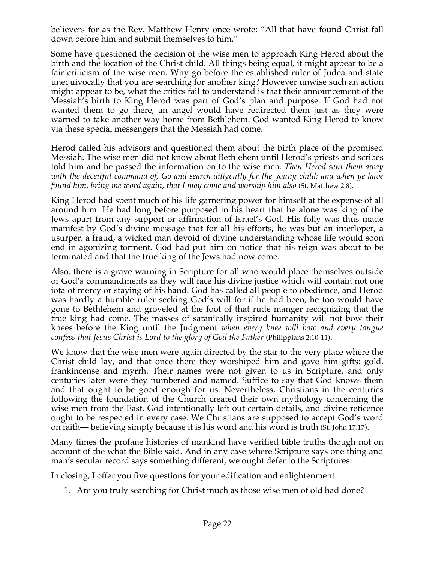believers for as the Rev. Matthew Henry once wrote: "All that have found Christ fall down before him and submit themselves to him."

Some have questioned the decision of the wise men to approach King Herod about the birth and the location of the Christ child. All things being equal, it might appear to be a fair criticism of the wise men. Why go before the established ruler of Judea and state unequivocally that you are searching for another king? However unwise such an action might appear to be, what the critics fail to understand is that their announcement of the Messiah's birth to King Herod was part of God's plan and purpose. If God had not wanted them to go there, an angel would have redirected them just as they were warned to take another way home from Bethlehem. God wanted King Herod to know via these special messengers that the Messiah had come.

Herod called his advisors and questioned them about the birth place of the promised Messiah. The wise men did not know about Bethlehem until Herod's priests and scribes told him and he passed the information on to the wise men. *Then Herod sent them away with the deceitful command of, Go and search diligently for the young child; and when ye have found him, bring me word again, that I may come and worship him also* (St. Matthew 2:8).

King Herod had spent much of his life garnering power for himself at the expense of all around him. He had long before purposed in his heart that he alone was king of the Jews apart from any support or affirmation of Israel's God. His folly was thus made manifest by God's divine message that for all his efforts, he was but an interloper, a usurper, a fraud, a wicked man devoid of divine understanding whose life would soon end in agonizing torment. God had put him on notice that his reign was about to be terminated and that the true king of the Jews had now come.

Also, there is a grave warning in Scripture for all who would place themselves outside of God's commandments as they will face his divine justice which will contain not one iota of mercy or staying of his hand. God has called all people to obedience, and Herod was hardly a humble ruler seeking God's will for if he had been, he too would have gone to Bethlehem and groveled at the foot of that rude manger recognizing that the true king had come. The masses of satanically inspired humanity will not bow their knees before the King until the Judgment *when every knee will bow and every tongue confess that Jesus Christ is Lord to the glory of God the Father* (Philippians 2:10-11).

We know that the wise men were again directed by the star to the very place where the Christ child lay, and that once there they worshiped him and gave him gifts: gold, frankincense and myrrh. Their names were not given to us in Scripture, and only centuries later were they numbered and named. Suffice to say that God knows them and that ought to be good enough for us. Nevertheless, Christians in the centuries following the foundation of the Church created their own mythology concerning the wise men from the East. God intentionally left out certain details, and divine reticence ought to be respected in every case. We Christians are supposed to accept God's word on faith— believing simply because it is his word and his word is truth (St. John 17:17).

Many times the profane histories of mankind have verified bible truths though not on account of the what the Bible said. And in any case where Scripture says one thing and man's secular record says something different, we ought defer to the Scriptures.

In closing, I offer you five questions for your edification and enlightenment:

1. Are you truly searching for Christ much as those wise men of old had done?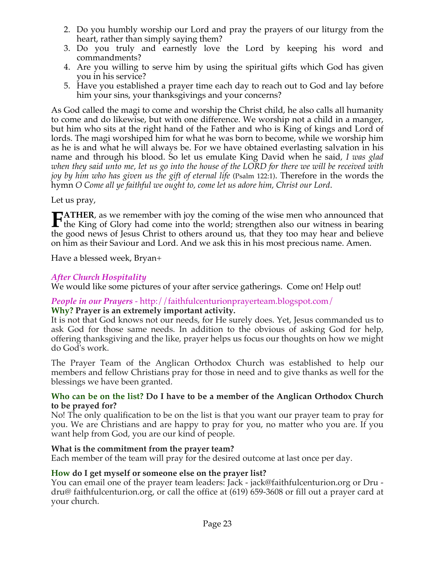- 2. Do you humbly worship our Lord and pray the prayers of our liturgy from the heart, rather than simply saying them?
- 3. Do you truly and earnestly love the Lord by keeping his word and commandments?
- 4. Are you willing to serve him by using the spiritual gifts which God has given you in his service?
- 5. Have you established a prayer time each day to reach out to God and lay before him your sins, your thanksgivings and your concerns?

As God called the magi to come and worship the Christ child, he also calls all humanity to come and do likewise, but with one difference. We worship not a child in a manger, but him who sits at the right hand of the Father and who is King of kings and Lord of lords. The magi worshiped him for what he was born to become, while we worship him as he is and what he will always be. For we have obtained everlasting salvation in his name and through his blood. So let us emulate King David when he said*, I was glad when they said unto me, let us go into the house of the LORD for there we will be received with joy by him who has given us the gift of eternal life* (Psalm 122:1). Therefore in the words the hymn *O Come all ye faithful we ought to, come let us adore him, Christ our Lord*.

Let us pray,

**ATHER**, as we remember with joy the coming of the wise men who announced that **FATHER**, as we remember with joy the coming of the wise men who announced that the King of Glory had come into the world; strengthen also our witness in bearing the good news of Jesus Christ to others around us, that they too may hear and believe on him as their Saviour and Lord. And we ask this in his most precious name. Amen.

Have a blessed week, Bryan+

## *After Church Hospitality*

We would like some pictures of your after service gatherings. Come on! Help out!

#### *People in our Prayers* - http://faithfulcenturionprayerteam.blogspot.com/ **Why? Prayer is an extremely important activity.**

It is not that God knows not our needs, for He surely does. Yet, Jesus commanded us to ask God for those same needs. In addition to the obvious of asking God for help, offering thanksgiving and the like, prayer helps us focus our thoughts on how we might do God's work.

The Prayer Team of the Anglican Orthodox Church was established to help our members and fellow Christians pray for those in need and to give thanks as well for the blessings we have been granted.

#### **Who can be on the list? Do I have to be a member of the Anglican Orthodox Church to be prayed for?**

No! The only qualification to be on the list is that you want our prayer team to pray for you. We are Christians and are happy to pray for you, no matter who you are. If you want help from God, you are our kind of people.

#### **What is the commitment from the prayer team?**

Each member of the team will pray for the desired outcome at last once per day.

#### **How do I get myself or someone else on the prayer list?**

You can email one of the prayer team leaders: Jack - jack@faithfulcenturion.org or Dru dru@ faithfulcenturion.org, or call the office at (619) 659-3608 or fill out a prayer card at your church.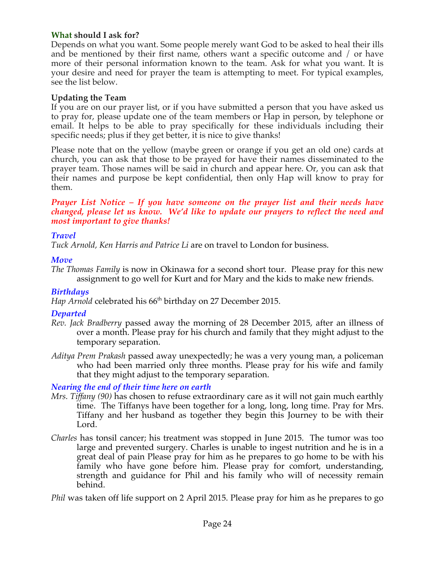## **What should I ask for?**

Depends on what you want. Some people merely want God to be asked to heal their ills and be mentioned by their first name, others want a specific outcome and / or have more of their personal information known to the team. Ask for what you want. It is your desire and need for prayer the team is attempting to meet. For typical examples, see the list below.

## **Updating the Team**

If you are on our prayer list, or if you have submitted a person that you have asked us to pray for, please update one of the team members or Hap in person, by telephone or email. It helps to be able to pray specifically for these individuals including their specific needs; plus if they get better, it is nice to give thanks!

Please note that on the yellow (maybe green or orange if you get an old one) cards at church, you can ask that those to be prayed for have their names disseminated to the prayer team. Those names will be said in church and appear here. Or, you can ask that their names and purpose be kept confidential, then only Hap will know to pray for them.

#### *Prayer List Notice – If you have someone on the prayer list and their needs have changed, please let us know. We'd like to update our prayers to reflect the need and most important to give thanks!*

## *Travel*

*Tuck Arnold, Ken Harris and Patrice Li* are on travel to London for business.

## *Move*

*The Thomas Family* is now in Okinawa for a second short tour. Please pray for this new assignment to go well for Kurt and for Mary and the kids to make new friends.

## *Birthdays*

*Hap Arnold* celebrated his 66<sup>th</sup> birthday on 27 December 2015.

## *Departed*

- *Rev. Jack Bradberry* passed away the morning of 28 December 2015, after an illness of over a month. Please pray for his church and family that they might adjust to the temporary separation.
- *Aditya Prem Prakash* passed away unexpectedly; he was a very young man, a policeman who had been married only three months. Please pray for his wife and family that they might adjust to the temporary separation.

#### *Nearing the end of their time here on earth*

- *Mrs. Tiffany (90)* has chosen to refuse extraordinary care as it will not gain much earthly time. The Tiffanys have been together for a long, long, long time. Pray for Mrs. Tiffany and her husband as together they begin this Journey to be with their Lord.
- *Charles* has tonsil cancer; his treatment was stopped in June 2015. The tumor was too large and prevented surgery. Charles is unable to ingest nutrition and he is in a great deal of pain Please pray for him as he prepares to go home to be with his family who have gone before him. Please pray for comfort, understanding, strength and guidance for Phil and his family who will of necessity remain behind.

*Phil* was taken off life support on 2 April 2015. Please pray for him as he prepares to go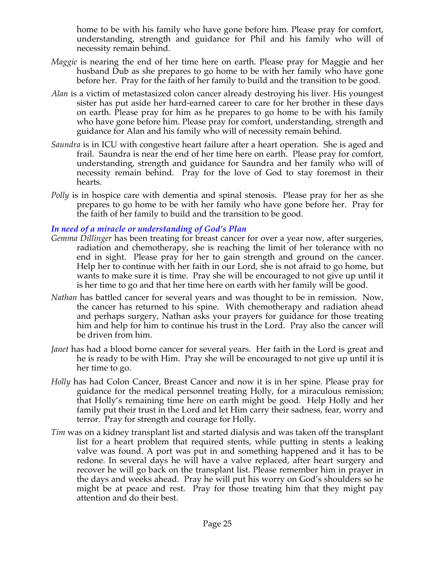home to be with his family who have gone before him. Please pray for comfort, understanding, strength and guidance for Phil and his family who will of necessity remain behind.

- *Maggie* is nearing the end of her time here on earth. Please pray for Maggie and her husband Dub as she prepares to go home to be with her family who have gone before her. Pray for the faith of her family to build and the transition to be good.
- *Alan* is a victim of metastasized colon cancer already destroying his liver. His youngest sister has put aside her hard-earned career to care for her brother in these days on earth. Please pray for him as he prepares to go home to be with his family who have gone before him. Please pray for comfort, understanding, strength and guidance for Alan and his family who will of necessity remain behind.
- *Saundra* is in ICU with congestive heart failure after a heart operation. She is aged and frail. Saundra is near the end of her time here on earth. Please pray for comfort, understanding, strength and guidance for Saundra and her family who will of necessity remain behind. Pray for the love of God to stay foremost in their hearts.
- *Polly* is in hospice care with dementia and spinal stenosis. Please pray for her as she prepares to go home to be with her family who have gone before her. Pray for the faith of her family to build and the transition to be good.

## *In need of a miracle or understanding of God's Plan*

- *Gemma Dillinger* has been treating for breast cancer for over a year now, after surgeries, radiation and chemotherapy, she is reaching the limit of her tolerance with no end in sight. Please pray for her to gain strength and ground on the cancer. Help her to continue with her faith in our Lord, she is not afraid to go home, but wants to make sure it is time. Pray she will be encouraged to not give up until it is her time to go and that her time here on earth with her family will be good.
- *Nathan* has battled cancer for several years and was thought to be in remission. Now, the cancer has returned to his spine. With chemotherapy and radiation ahead and perhaps surgery, Nathan asks your prayers for guidance for those treating him and help for him to continue his trust in the Lord. Pray also the cancer will be driven from him.
- *Janet* has had a blood borne cancer for several years. Her faith in the Lord is great and he is ready to be with Him. Pray she will be encouraged to not give up until it is her time to go.
- *Holly* has had Colon Cancer, Breast Cancer and now it is in her spine. Please pray for guidance for the medical personnel treating Holly, for a miraculous remission; that Holly's remaining time here on earth might be good. Help Holly and her family put their trust in the Lord and let Him carry their sadness, fear, worry and terror. Pray for strength and courage for Holly.
- *Tim* was on a kidney transplant list and started dialysis and was taken off the transplant list for a heart problem that required stents, while putting in stents a leaking valve was found. A port was put in and something happened and it has to be redone. In several days he will have a valve replaced, after heart surgery and recover he will go back on the transplant list. Please remember him in prayer in the days and weeks ahead. Pray he will put his worry on God's shoulders so he might be at peace and rest. Pray for those treating him that they might pay attention and do their best.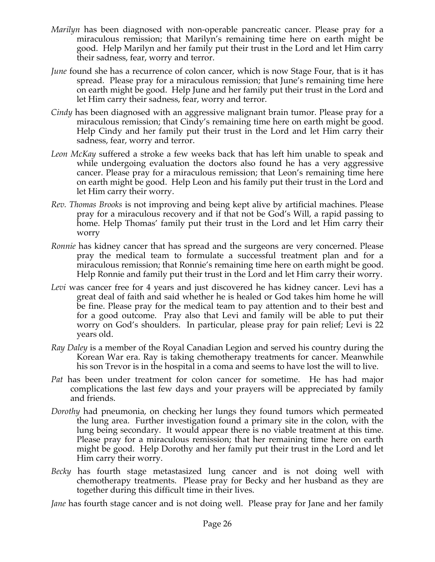- *Marilyn* has been diagnosed with non-operable pancreatic cancer. Please pray for a miraculous remission; that Marilyn's remaining time here on earth might be good. Help Marilyn and her family put their trust in the Lord and let Him carry their sadness, fear, worry and terror.
- *June* found she has a recurrence of colon cancer, which is now Stage Four, that is it has spread. Please pray for a miraculous remission; that June's remaining time here on earth might be good. Help June and her family put their trust in the Lord and let Him carry their sadness, fear, worry and terror.
- *Cindy* has been diagnosed with an aggressive malignant brain tumor. Please pray for a miraculous remission; that Cindy's remaining time here on earth might be good. Help Cindy and her family put their trust in the Lord and let Him carry their sadness, fear, worry and terror.
- *Leon McKay* suffered a stroke a few weeks back that has left him unable to speak and while undergoing evaluation the doctors also found he has a very aggressive cancer. Please pray for a miraculous remission; that Leon's remaining time here on earth might be good. Help Leon and his family put their trust in the Lord and let Him carry their worry.
- *Rev. Thomas Brooks* is not improving and being kept alive by artificial machines. Please pray for a miraculous recovery and if that not be God's Will, a rapid passing to home. Help Thomas' family put their trust in the Lord and let Him carry their worry
- *Ronnie* has kidney cancer that has spread and the surgeons are very concerned. Please pray the medical team to formulate a successful treatment plan and for a miraculous remission; that Ronnie's remaining time here on earth might be good. Help Ronnie and family put their trust in the Lord and let Him carry their worry.
- Levi was cancer free for 4 years and just discovered he has kidney cancer. Levi has a great deal of faith and said whether he is healed or God takes him home he will be fine. Please pray for the medical team to pay attention and to their best and for a good outcome. Pray also that Levi and family will be able to put their worry on God's shoulders. In particular, please pray for pain relief; Levi is 22 years old.
- *Ray Daley* is a member of the Royal Canadian Legion and served his country during the Korean War era. Ray is taking chemotherapy treatments for cancer. Meanwhile his son Trevor is in the hospital in a coma and seems to have lost the will to live.
- *Pat* has been under treatment for colon cancer for sometime. He has had major complications the last few days and your prayers will be appreciated by family and friends.
- *Dorothy* had pneumonia, on checking her lungs they found tumors which permeated the lung area. Further investigation found a primary site in the colon, with the lung being secondary. It would appear there is no viable treatment at this time. Please pray for a miraculous remission; that her remaining time here on earth might be good. Help Dorothy and her family put their trust in the Lord and let Him carry their worry.
- *Becky* has fourth stage metastasized lung cancer and is not doing well with chemotherapy treatments. Please pray for Becky and her husband as they are together during this difficult time in their lives.

*Jane* has fourth stage cancer and is not doing well. Please pray for Jane and her family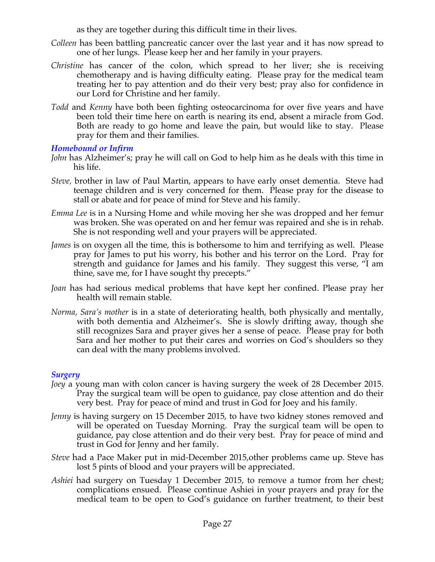as they are together during this difficult time in their lives.

- *Colleen* has been battling pancreatic cancer over the last year and it has now spread to one of her lungs. Please keep her and her family in your prayers.
- *Christine* has cancer of the colon, which spread to her liver; she is receiving chemotherapy and is having difficulty eating. Please pray for the medical team treating her to pay attention and do their very best; pray also for confidence in our Lord for Christine and her family.
- *Todd* and *Kenny* have both been fighting osteocarcinoma for over five years and have been told their time here on earth is nearing its end, absent a miracle from God. Both are ready to go home and leave the pain, but would like to stay. Please pray for them and their families.

## *Homebound or Infirm*

- *John* has Alzheimer's; pray he will call on God to help him as he deals with this time in his life.
- *Steve,* brother in law of Paul Martin, appears to have early onset dementia. Steve had teenage children and is very concerned for them. Please pray for the disease to stall or abate and for peace of mind for Steve and his family.
- *Emma Lee* is in a Nursing Home and while moving her she was dropped and her femur was broken. She was operated on and her femur was repaired and she is in rehab. She is not responding well and your prayers will be appreciated.
- *James* is on oxygen all the time, this is bothersome to him and terrifying as well. Please pray for James to put his worry, his bother and his terror on the Lord. Pray for strength and guidance for James and his family. They suggest this verse, "I am thine, save me, for I have sought thy precepts."
- *Joan* has had serious medical problems that have kept her confined. Please pray her health will remain stable.
- *Norma, Sara's mother* is in a state of deteriorating health, both physically and mentally, with both dementia and Alzheimer's. She is slowly drifting away, though she still recognizes Sara and prayer gives her a sense of peace. Please pray for both Sara and her mother to put their cares and worries on God's shoulders so they can deal with the many problems involved.

## *Surgery*

- *Joey* a young man with colon cancer is having surgery the week of 28 December 2015. Pray the surgical team will be open to guidance, pay close attention and do their very best. Pray for peace of mind and trust in God for Joey and his family.
- *Jenny* is having surgery on 15 December 2015, to have two kidney stones removed and will be operated on Tuesday Morning. Pray the surgical team will be open to guidance, pay close attention and do their very best. Pray for peace of mind and trust in God for Jenny and her family.
- *Steve* had a Pace Maker put in mid-December 2015,other problems came up. Steve has lost 5 pints of blood and your prayers will be appreciated.
- *Ashiei* had surgery on Tuesday 1 December 2015, to remove a tumor from her chest; complications ensued. Please continue Ashiei in your prayers and pray for the medical team to be open to God's guidance on further treatment, to their best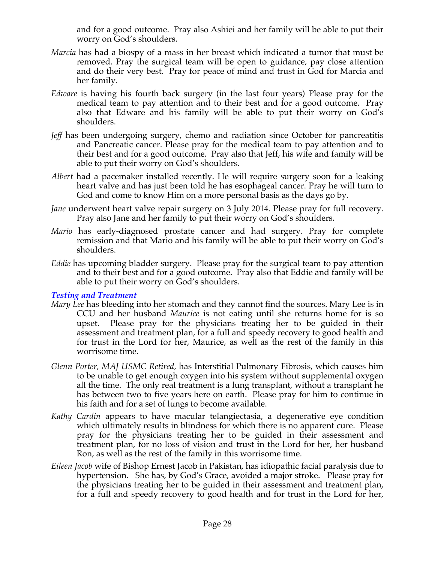and for a good outcome. Pray also Ashiei and her family will be able to put their worry on God's shoulders.

- *Marcia* has had a biospy of a mass in her breast which indicated a tumor that must be removed. Pray the surgical team will be open to guidance, pay close attention and do their very best. Pray for peace of mind and trust in God for Marcia and her family.
- *Edware* is having his fourth back surgery (in the last four years) Please pray for the medical team to pay attention and to their best and for a good outcome. Pray also that Edware and his family will be able to put their worry on God's shoulders.
- *Jeff* has been undergoing surgery, chemo and radiation since October for pancreatitis and Pancreatic cancer. Please pray for the medical team to pay attention and to their best and for a good outcome. Pray also that Jeff, his wife and family will be able to put their worry on God's shoulders.
- *Albert* had a pacemaker installed recently. He will require surgery soon for a leaking heart valve and has just been told he has esophageal cancer. Pray he will turn to God and come to know Him on a more personal basis as the days go by.
- *Jane* underwent heart valve repair surgery on 3 July 2014. Please pray for full recovery. Pray also Jane and her family to put their worry on God's shoulders.
- *Mario* has early-diagnosed prostate cancer and had surgery. Pray for complete remission and that Mario and his family will be able to put their worry on God's shoulders.
- *Eddie* has upcoming bladder surgery. Please pray for the surgical team to pay attention and to their best and for a good outcome. Pray also that Eddie and family will be able to put their worry on God's shoulders.

#### *Testing and Treatment*

- *Mary Lee* has bleeding into her stomach and they cannot find the sources. Mary Lee is in CCU and her husband *Maurice* is not eating until she returns home for is so upset. Please pray for the physicians treating her to be guided in their assessment and treatment plan, for a full and speedy recovery to good health and for trust in the Lord for her, Maurice, as well as the rest of the family in this worrisome time.
- *Glenn Porter, MAJ USMC Retired,* has Interstitial Pulmonary Fibrosis, which causes him to be unable to get enough oxygen into his system without supplemental oxygen all the time. The only real treatment is a lung transplant, without a transplant he has between two to five years here on earth. Please pray for him to continue in his faith and for a set of lungs to become available.
- *Kathy Cardin* appears to have macular telangiectasia, a degenerative eye condition which ultimately results in blindness for which there is no apparent cure. Please pray for the physicians treating her to be guided in their assessment and treatment plan, for no loss of vision and trust in the Lord for her, her husband Ron, as well as the rest of the family in this worrisome time.
- *Eileen Jacob* wife of Bishop Ernest Jacob in Pakistan, has idiopathic facial paralysis due to hypertension. She has, by God's Grace, avoided a major stroke. Please pray for the physicians treating her to be guided in their assessment and treatment plan, for a full and speedy recovery to good health and for trust in the Lord for her,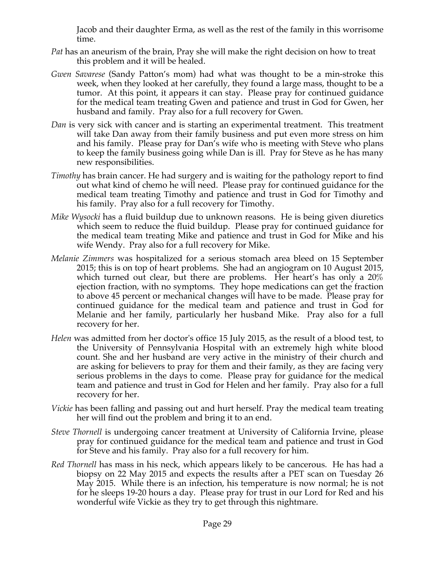Jacob and their daughter Erma, as well as the rest of the family in this worrisome time.

- *Pat* has an aneurism of the brain, Pray she will make the right decision on how to treat this problem and it will be healed.
- *Gwen Savarese* (Sandy Patton's mom) had what was thought to be a min-stroke this week, when they looked at her carefully, they found a large mass, thought to be a tumor. At this point, it appears it can stay. Please pray for continued guidance for the medical team treating Gwen and patience and trust in God for Gwen, her husband and family. Pray also for a full recovery for Gwen.
- *Dan* is very sick with cancer and is starting an experimental treatment. This treatment will take Dan away from their family business and put even more stress on him and his family. Please pray for Dan's wife who is meeting with Steve who plans to keep the family business going while Dan is ill. Pray for Steve as he has many new responsibilities.
- *Timothy* has brain cancer. He had surgery and is waiting for the pathology report to find out what kind of chemo he will need. Please pray for continued guidance for the medical team treating Timothy and patience and trust in God for Timothy and his family. Pray also for a full recovery for Timothy.
- *Mike Wysocki* has a fluid buildup due to unknown reasons. He is being given diuretics which seem to reduce the fluid buildup. Please pray for continued guidance for the medical team treating Mike and patience and trust in God for Mike and his wife Wendy. Pray also for a full recovery for Mike.
- *Melanie Zimmers* was hospitalized for a serious stomach area bleed on 15 September 2015; this is on top of heart problems. She had an angiogram on 10 August 2015, which turned out clear, but there are problems. Her heart's has only a 20% ejection fraction, with no symptoms. They hope medications can get the fraction to above 45 percent or mechanical changes will have to be made. Please pray for continued guidance for the medical team and patience and trust in God for Melanie and her family, particularly her husband Mike. Pray also for a full recovery for her.
- *Helen* was admitted from her doctor's office 15 July 2015, as the result of a blood test, to the University of Pennsylvania Hospital with an extremely high white blood count. She and her husband are very active in the ministry of their church and are asking for believers to pray for them and their family, as they are facing very serious problems in the days to come. Please pray for guidance for the medical team and patience and trust in God for Helen and her family. Pray also for a full recovery for her.
- *Vickie* has been falling and passing out and hurt herself. Pray the medical team treating her will find out the problem and bring it to an end.
- *Steve Thornell* is undergoing cancer treatment at University of California Irvine, please pray for continued guidance for the medical team and patience and trust in God for Steve and his family. Pray also for a full recovery for him.
- *Red Thornell* has mass in his neck, which appears likely to be cancerous. He has had a biopsy on 22 May 2015 and expects the results after a PET scan on Tuesday 26 May 2015. While there is an infection, his temperature is now normal; he is not for he sleeps 19-20 hours a day. Please pray for trust in our Lord for Red and his wonderful wife Vickie as they try to get through this nightmare.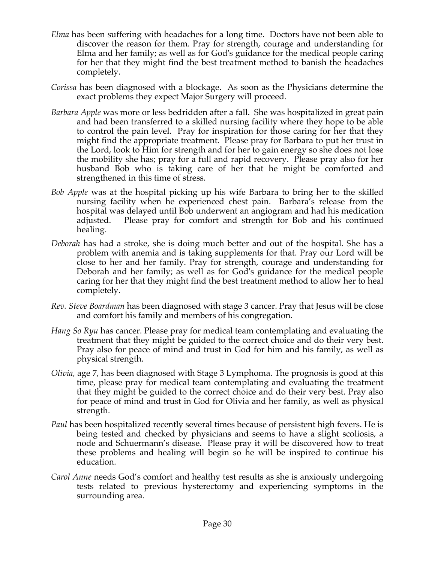- *Elma* has been suffering with headaches for a long time. Doctors have not been able to discover the reason for them. Pray for strength, courage and understanding for Elma and her family; as well as for God's guidance for the medical people caring for her that they might find the best treatment method to banish the headaches completely.
- *Corissa* has been diagnosed with a blockage. As soon as the Physicians determine the exact problems they expect Major Surgery will proceed.
- *Barbara Apple* was more or less bedridden after a fall. She was hospitalized in great pain and had been transferred to a skilled nursing facility where they hope to be able to control the pain level. Pray for inspiration for those caring for her that they might find the appropriate treatment. Please pray for Barbara to put her trust in the Lord, look to Him for strength and for her to gain energy so she does not lose the mobility she has; pray for a full and rapid recovery. Please pray also for her husband Bob who is taking care of her that he might be comforted and strengthened in this time of stress.
- *Bob Apple* was at the hospital picking up his wife Barbara to bring her to the skilled nursing facility when he experienced chest pain. Barbara's release from the hospital was delayed until Bob underwent an angiogram and had his medication adjusted. Please pray for comfort and strength for Bob and his continued healing.
- *Deborah* has had a stroke, she is doing much better and out of the hospital. She has a problem with anemia and is taking supplements for that. Pray our Lord will be close to her and her family. Pray for strength, courage and understanding for Deborah and her family; as well as for God's guidance for the medical people caring for her that they might find the best treatment method to allow her to heal completely.
- *Rev. Steve Boardman* has been diagnosed with stage 3 cancer. Pray that Jesus will be close and comfort his family and members of his congregation*.*
- *Hang So Ryu* has cancer. Please pray for medical team contemplating and evaluating the treatment that they might be guided to the correct choice and do their very best. Pray also for peace of mind and trust in God for him and his family, as well as physical strength.
- *Olivia,* age 7, has been diagnosed with Stage 3 Lymphoma. The prognosis is good at this time, please pray for medical team contemplating and evaluating the treatment that they might be guided to the correct choice and do their very best. Pray also for peace of mind and trust in God for Olivia and her family, as well as physical strength.
- *Paul* has been hospitalized recently several times because of persistent high fevers. He is being tested and checked by physicians and seems to have a slight scoliosis, a node and Schuermann's disease. Please pray it will be discovered how to treat these problems and healing will begin so he will be inspired to continue his education.
- *Carol Anne* needs God's comfort and healthy test results as she is anxiously undergoing tests related to previous hysterectomy and experiencing symptoms in the surrounding area.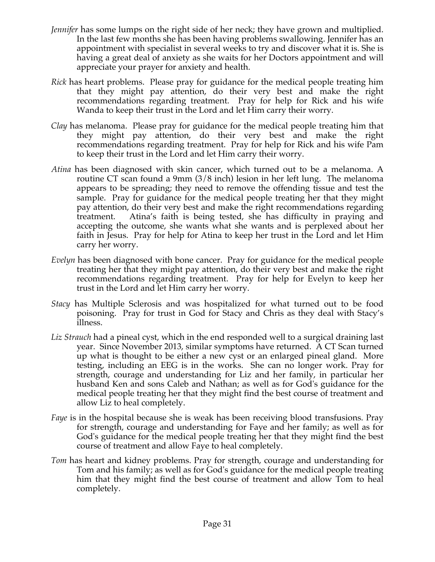- *Jennifer* has some lumps on the right side of her neck; they have grown and multiplied. In the last few months she has been having problems swallowing. Jennifer has an appointment with specialist in several weeks to try and discover what it is. She is having a great deal of anxiety as she waits for her Doctors appointment and will appreciate your prayer for anxiety and health.
- *Rick* has heart problems. Please pray for guidance for the medical people treating him that they might pay attention, do their very best and make the right recommendations regarding treatment. Pray for help for Rick and his wife Wanda to keep their trust in the Lord and let Him carry their worry.
- *Clay* has melanoma. Please pray for guidance for the medical people treating him that they might pay attention, do their very best and make the right recommendations regarding treatment. Pray for help for Rick and his wife Pam to keep their trust in the Lord and let Him carry their worry.
- *Atina* has been diagnosed with skin cancer, which turned out to be a melanoma. A routine CT scan found a 9mm (3/8 inch) lesion in her left lung. The melanoma appears to be spreading; they need to remove the offending tissue and test the sample. Pray for guidance for the medical people treating her that they might pay attention, do their very best and make the right recommendations regarding treatment. Atina's faith is being tested, she has difficulty in praying and accepting the outcome, she wants what she wants and is perplexed about her faith in Jesus. Pray for help for Atina to keep her trust in the Lord and let Him carry her worry.
- *Evelyn* has been diagnosed with bone cancer. Pray for guidance for the medical people treating her that they might pay attention, do their very best and make the right recommendations regarding treatment. Pray for help for Evelyn to keep her trust in the Lord and let Him carry her worry.
- *Stacy* has Multiple Sclerosis and was hospitalized for what turned out to be food poisoning. Pray for trust in God for Stacy and Chris as they deal with Stacy's illness.
- *Liz Strauch* had a pineal cyst, which in the end responded well to a surgical draining last year. Since November 2013, similar symptoms have returned. A CT Scan turned up what is thought to be either a new cyst or an enlarged pineal gland. More testing, including an EEG is in the works. She can no longer work. Pray for strength, courage and understanding for Liz and her family, in particular her husband Ken and sons Caleb and Nathan; as well as for God's guidance for the medical people treating her that they might find the best course of treatment and allow Liz to heal completely.
- *Faye* is in the hospital because she is weak has been receiving blood transfusions. Pray for strength, courage and understanding for Faye and her family; as well as for God's guidance for the medical people treating her that they might find the best course of treatment and allow Faye to heal completely.
- *Tom* has heart and kidney problems. Pray for strength, courage and understanding for Tom and his family; as well as for God's guidance for the medical people treating him that they might find the best course of treatment and allow Tom to heal completely.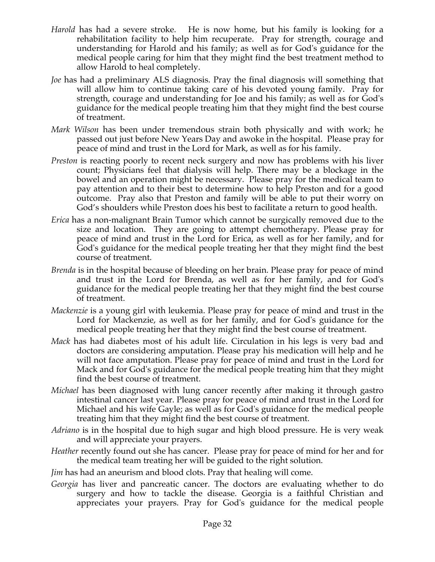- *Harold* has had a severe stroke. He is now home, but his family is looking for a rehabilitation facility to help him recuperate. Pray for strength, courage and understanding for Harold and his family; as well as for God's guidance for the medical people caring for him that they might find the best treatment method to allow Harold to heal completely.
- *Joe* has had a preliminary ALS diagnosis. Pray the final diagnosis will something that will allow him to continue taking care of his devoted young family. Pray for strength, courage and understanding for Joe and his family; as well as for God's guidance for the medical people treating him that they might find the best course of treatment.
- *Mark Wilson* has been under tremendous strain both physically and with work; he passed out just before New Years Day and awoke in the hospital. Please pray for peace of mind and trust in the Lord for Mark, as well as for his family.
- *Preston* is reacting poorly to recent neck surgery and now has problems with his liver count; Physicians feel that dialysis will help. There may be a blockage in the bowel and an operation might be necessary. Please pray for the medical team to pay attention and to their best to determine how to help Preston and for a good outcome. Pray also that Preston and family will be able to put their worry on God's shoulders while Preston does his best to facilitate a return to good health.
- *Erica* has a non-malignant Brain Tumor which cannot be surgically removed due to the size and location. They are going to attempt chemotherapy. Please pray for peace of mind and trust in the Lord for Erica, as well as for her family, and for God's guidance for the medical people treating her that they might find the best course of treatment.
- *Brenda* is in the hospital because of bleeding on her brain. Please pray for peace of mind and trust in the Lord for Brenda, as well as for her family, and for God's guidance for the medical people treating her that they might find the best course of treatment.
- *Mackenzie* is a young girl with leukemia. Please pray for peace of mind and trust in the Lord for Mackenzie, as well as for her family, and for God's guidance for the medical people treating her that they might find the best course of treatment.
- *Mack* has had diabetes most of his adult life. Circulation in his legs is very bad and doctors are considering amputation. Please pray his medication will help and he will not face amputation. Please pray for peace of mind and trust in the Lord for Mack and for God's guidance for the medical people treating him that they might find the best course of treatment.
- *Michael* has been diagnosed with lung cancer recently after making it through gastro intestinal cancer last year. Please pray for peace of mind and trust in the Lord for Michael and his wife Gayle; as well as for God's guidance for the medical people treating him that they might find the best course of treatment.
- *Adriano* is in the hospital due to high sugar and high blood pressure. He is very weak and will appreciate your prayers.
- *Heather* recently found out she has cancer. Please pray for peace of mind for her and for the medical team treating her will be guided to the right solution.
- *Jim* has had an aneurism and blood clots. Pray that healing will come.
- *Georgia* has liver and pancreatic cancer. The doctors are evaluating whether to do surgery and how to tackle the disease. Georgia is a faithful Christian and appreciates your prayers. Pray for God's guidance for the medical people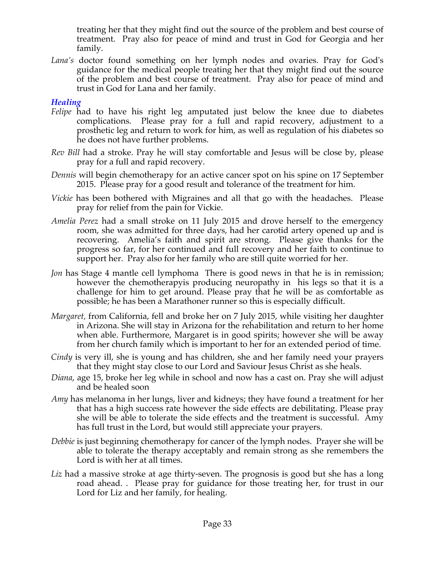treating her that they might find out the source of the problem and best course of treatment. Pray also for peace of mind and trust in God for Georgia and her family.

*Lana's* doctor found something on her lymph nodes and ovaries. Pray for God's guidance for the medical people treating her that they might find out the source of the problem and best course of treatment. Pray also for peace of mind and trust in God for Lana and her family.

## *Healing*

- *Felipe* had to have his right leg amputated just below the knee due to diabetes complications. Please pray for a full and rapid recovery, adjustment to a prosthetic leg and return to work for him, as well as regulation of his diabetes so he does not have further problems.
- *Rev Bill* had a stroke. Pray he will stay comfortable and Jesus will be close by, please pray for a full and rapid recovery.
- *Dennis* will begin chemotherapy for an active cancer spot on his spine on 17 September 2015. Please pray for a good result and tolerance of the treatment for him.
- *Vickie* has been bothered with Migraines and all that go with the headaches. Please pray for relief from the pain for Vickie.
- *Amelia Perez* had a small stroke on 11 July 2015 and drove herself to the emergency room, she was admitted for three days, had her carotid artery opened up and is recovering. Amelia's faith and spirit are strong. Please give thanks for the progress so far, for her continued and full recovery and her faith to continue to support her. Pray also for her family who are still quite worried for her.
- *Jon* has Stage 4 mantle cell lymphoma There is good news in that he is in remission; however the chemotherapyis producing neuropathy in his legs so that it is a challenge for him to get around. Please pray that he will be as comfortable as possible; he has been a Marathoner runner so this is especially difficult.
- *Margaret,* from California, fell and broke her on 7 July 2015, while visiting her daughter in Arizona. She will stay in Arizona for the rehabilitation and return to her home when able. Furthermore, Margaret is in good spirits; however she will be away from her church family which is important to her for an extended period of time.
- *Cindy* is very ill, she is young and has children, she and her family need your prayers that they might stay close to our Lord and Saviour Jesus Christ as she heals.
- *Diana*, age 15, broke her leg while in school and now has a cast on. Pray she will adjust and be healed soon
- *Amy* has melanoma in her lungs, liver and kidneys; they have found a treatment for her that has a high success rate however the side effects are debilitating. Please pray she will be able to tolerate the side effects and the treatment is successful. Amy has full trust in the Lord, but would still appreciate your prayers.
- *Debbie* is just beginning chemotherapy for cancer of the lymph nodes. Prayer she will be able to tolerate the therapy acceptably and remain strong as she remembers the Lord is with her at all times.
- Liz had a massive stroke at age thirty-seven. The prognosis is good but she has a long road ahead. . Please pray for guidance for those treating her, for trust in our Lord for Liz and her family, for healing.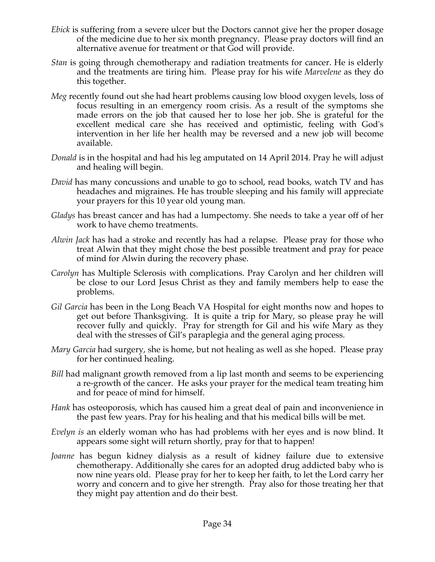- *Ebick* is suffering from a severe ulcer but the Doctors cannot give her the proper dosage of the medicine due to her six month pregnancy. Please pray doctors will find an alternative avenue for treatment or that God will provide.
- *Stan* is going through chemotherapy and radiation treatments for cancer. He is elderly and the treatments are tiring him. Please pray for his wife *Marvelene* as they do this together.
- *Meg* recently found out she had heart problems causing low blood oxygen levels, loss of focus resulting in an emergency room crisis. As a result of the symptoms she made errors on the job that caused her to lose her job. She is grateful for the excellent medical care she has received and optimistic, feeling with God's intervention in her life her health may be reversed and a new job will become available.
- *Donald* is in the hospital and had his leg amputated on 14 April 2014. Pray he will adjust and healing will begin.
- *David* has many concussions and unable to go to school, read books, watch TV and has headaches and migraines. He has trouble sleeping and his family will appreciate your prayers for this 10 year old young man.
- *Gladys* has breast cancer and has had a lumpectomy. She needs to take a year off of her work to have chemo treatments.
- *Alwin Jack* has had a stroke and recently has had a relapse. Please pray for those who treat Alwin that they might chose the best possible treatment and pray for peace of mind for Alwin during the recovery phase.
- *Carolyn* has Multiple Sclerosis with complications. Pray Carolyn and her children will be close to our Lord Jesus Christ as they and family members help to ease the problems.
- *Gil Garcia* has been in the Long Beach VA Hospital for eight months now and hopes to get out before Thanksgiving. It is quite a trip for Mary, so please pray he will recover fully and quickly. Pray for strength for Gil and his wife Mary as they deal with the stresses of Gil's paraplegia and the general aging process.
- *Mary Garcia* had surgery, she is home, but not healing as well as she hoped. Please pray for her continued healing.
- *Bill* had malignant growth removed from a lip last month and seems to be experiencing a re-growth of the cancer. He asks your prayer for the medical team treating him and for peace of mind for himself.
- *Hank* has osteoporosis, which has caused him a great deal of pain and inconvenience in the past few years. Pray for his healing and that his medical bills will be met.
- *Evelyn is* an elderly woman who has had problems with her eyes and is now blind. It appears some sight will return shortly, pray for that to happen!
- *Joanne* has begun kidney dialysis as a result of kidney failure due to extensive chemotherapy. Additionally she cares for an adopted drug addicted baby who is now nine years old. Please pray for her to keep her faith, to let the Lord carry her worry and concern and to give her strength. Pray also for those treating her that they might pay attention and do their best.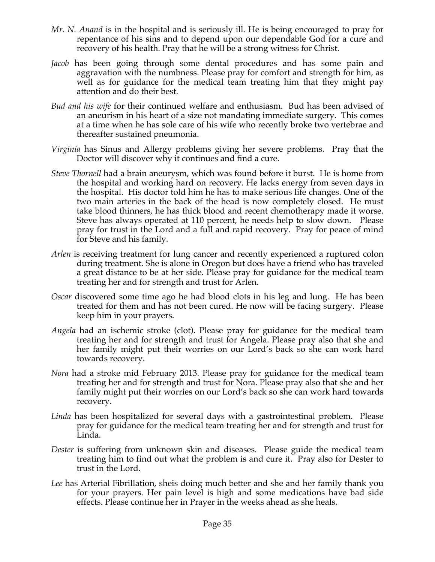- *Mr. N. Anand* is in the hospital and is seriously ill. He is being encouraged to pray for repentance of his sins and to depend upon our dependable God for a cure and recovery of his health. Pray that he will be a strong witness for Christ.
- *Jacob* has been going through some dental procedures and has some pain and aggravation with the numbness. Please pray for comfort and strength for him, as well as for guidance for the medical team treating him that they might pay attention and do their best.
- *Bud and his wife* for their continued welfare and enthusiasm. Bud has been advised of an aneurism in his heart of a size not mandating immediate surgery. This comes at a time when he has sole care of his wife who recently broke two vertebrae and thereafter sustained pneumonia.
- *Virginia* has Sinus and Allergy problems giving her severe problems. Pray that the Doctor will discover why it continues and find a cure.
- *Steve Thornell* had a brain aneurysm, which was found before it burst. He is home from the hospital and working hard on recovery. He lacks energy from seven days in the hospital. His doctor told him he has to make serious life changes. One of the two main arteries in the back of the head is now completely closed. He must take blood thinners, he has thick blood and recent chemotherapy made it worse. Steve has always operated at 110 percent, he needs help to slow down. Please pray for trust in the Lord and a full and rapid recovery. Pray for peace of mind for Steve and his family.
- *Arlen* is receiving treatment for lung cancer and recently experienced a ruptured colon during treatment. She is alone in Oregon but does have a friend who has traveled a great distance to be at her side. Please pray for guidance for the medical team treating her and for strength and trust for Arlen.
- *Oscar* discovered some time ago he had blood clots in his leg and lung. He has been treated for them and has not been cured. He now will be facing surgery. Please keep him in your prayers.
- *Angela* had an ischemic stroke (clot). Please pray for guidance for the medical team treating her and for strength and trust for Angela. Please pray also that she and her family might put their worries on our Lord's back so she can work hard towards recovery.
- *Nora* had a stroke mid February 2013. Please pray for guidance for the medical team treating her and for strength and trust for Nora. Please pray also that she and her family might put their worries on our Lord's back so she can work hard towards recovery.
- *Linda* has been hospitalized for several days with a gastrointestinal problem. Please pray for guidance for the medical team treating her and for strength and trust for Linda.
- *Dester* is suffering from unknown skin and diseases. Please guide the medical team treating him to find out what the problem is and cure it. Pray also for Dester to trust in the Lord.
- *Lee* has Arterial Fibrillation, sheis doing much better and she and her family thank you for your prayers. Her pain level is high and some medications have bad side effects. Please continue her in Prayer in the weeks ahead as she heals.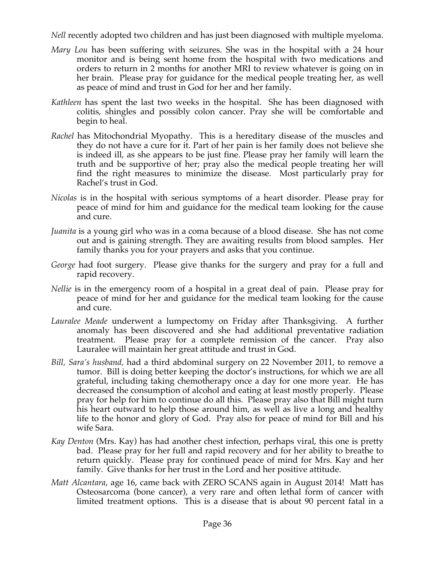*Nell* recently adopted two children and has just been diagnosed with multiple myeloma.

- *Mary Lou* has been suffering with seizures. She was in the hospital with a 24 hour monitor and is being sent home from the hospital with two medications and orders to return in 2 months for another MRI to review whatever is going on in her brain. Please pray for guidance for the medical people treating her, as well as peace of mind and trust in God for her and her family.
- *Kathleen* has spent the last two weeks in the hospital. She has been diagnosed with colitis, shingles and possibly colon cancer. Pray she will be comfortable and begin to heal.
- *Rachel* has Mitochondrial Myopathy. This is a hereditary disease of the muscles and they do not have a cure for it. Part of her pain is her family does not believe she is indeed ill, as she appears to be just fine. Please pray her family will learn the truth and be supportive of her; pray also the medical people treating her will find the right measures to minimize the disease. Most particularly pray for Rachel's trust in God.
- *Nicolas* is in the hospital with serious symptoms of a heart disorder. Please pray for peace of mind for him and guidance for the medical team looking for the cause and cure.
- *Juanita* is a young girl who was in a coma because of a blood disease. She has not come out and is gaining strength. They are awaiting results from blood samples. Her family thanks you for your prayers and asks that you continue.
- *George* had foot surgery. Please give thanks for the surgery and pray for a full and rapid recovery.
- *Nellie* is in the emergency room of a hospital in a great deal of pain. Please pray for peace of mind for her and guidance for the medical team looking for the cause and cure.
- *Lauralee Meade* underwent a lumpectomy on Friday after Thanksgiving. A further anomaly has been discovered and she had additional preventative radiation treatment. Please pray for a complete remission of the cancer. Pray also Lauralee will maintain her great attitude and trust in God.
- *Bill, Sara's husband,* had a third abdominal surgery on 22 November 2011, to remove a tumor. Bill is doing better keeping the doctor's instructions, for which we are all grateful, including taking chemotherapy once a day for one more year. He has decreased the consumption of alcohol and eating at least mostly properly. Please pray for help for him to continue do all this. Please pray also that Bill might turn his heart outward to help those around him, as well as live a long and healthy life to the honor and glory of God. Pray also for peace of mind for Bill and his wife Sara.
- *Kay Denton* (Mrs. Kay) has had another chest infection, perhaps viral, this one is pretty bad. Please pray for her full and rapid recovery and for her ability to breathe to return quickly. Please pray for continued peace of mind for Mrs. Kay and her family. Give thanks for her trust in the Lord and her positive attitude.
- *Matt Alcantara*, age 16, came back with ZERO SCANS again in August 2014! Matt has Osteosarcoma (bone cancer), a very rare and often lethal form of cancer with limited treatment options. This is a disease that is about 90 percent fatal in a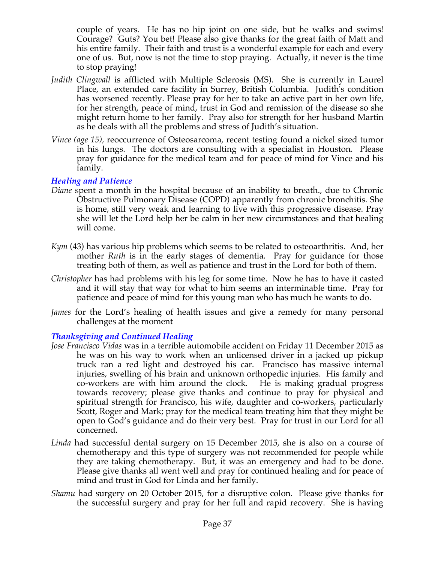couple of years. He has no hip joint on one side, but he walks and swims! Courage? Guts? You bet! Please also give thanks for the great faith of Matt and his entire family. Their faith and trust is a wonderful example for each and every one of us. But, now is not the time to stop praying. Actually, it never is the time to stop praying!

- *Judith Clingwall* is afflicted with Multiple Sclerosis (MS). She is currently in Laurel Place, an extended care facility in Surrey, British Columbia. Judith's condition has worsened recently. Please pray for her to take an active part in her own life, for her strength, peace of mind, trust in God and remission of the disease so she might return home to her family. Pray also for strength for her husband Martin as he deals with all the problems and stress of Judith's situation.
- *Vince (age 15), reoccurrence of Osteosarcoma, recent testing found a nickel sized tumor* in his lungs. The doctors are consulting with a specialist in Houston. Please pray for guidance for the medical team and for peace of mind for Vince and his family.

## *Healing and Patience*

- *Diane* spent a month in the hospital because of an inability to breath., due to Chronic Obstructive Pulmonary Disease (COPD) apparently from chronic bronchitis. She is home, still very weak and learning to live with this progressive disease. Pray she will let the Lord help her be calm in her new circumstances and that healing will come.
- *Kym* (43) has various hip problems which seems to be related to osteoarthritis. And, her mother *Ruth* is in the early stages of dementia. Pray for guidance for those treating both of them, as well as patience and trust in the Lord for both of them.
- *Christopher* has had problems with his leg for some time. Now he has to have it casted and it will stay that way for what to him seems an interminable time. Pray for patience and peace of mind for this young man who has much he wants to do.
- *James* for the Lord's healing of health issues and give a remedy for many personal challenges at the moment

## *Thanksgiving and Continued Healing*

- *Jose Francisco Vidas* was in a terrible automobile accident on Friday 11 December 2015 as he was on his way to work when an unlicensed driver in a jacked up pickup truck ran a red light and destroyed his car. Francisco has massive internal injuries, swelling of his brain and unknown orthopedic injuries. His family and co-workers are with him around the clock. He is making gradual progress towards recovery; please give thanks and continue to pray for physical and spiritual strength for Francisco, his wife, daughter and co-workers, particularly Scott, Roger and Mark; pray for the medical team treating him that they might be open to God's guidance and do their very best. Pray for trust in our Lord for all concerned.
- *Linda* had successful dental surgery on 15 December 2015, she is also on a course of chemotherapy and this type of surgery was not recommended for people while they are taking chemotherapy. But, it was an emergency and had to be done. Please give thanks all went well and pray for continued healing and for peace of mind and trust in God for Linda and her family.
- *Shamu* had surgery on 20 October 2015, for a disruptive colon. Please give thanks for the successful surgery and pray for her full and rapid recovery. She is having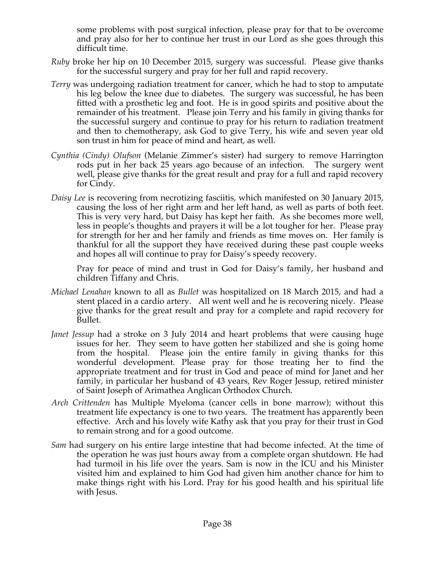some problems with post surgical infection, please pray for that to be overcome and pray also for her to continue her trust in our Lord as she goes through this difficult time.

- *Ruby* broke her hip on 10 December 2015, surgery was successful. Please give thanks for the successful surgery and pray for her full and rapid recovery.
- *Terry* was undergoing radiation treatment for cancer, which he had to stop to amputate his leg below the knee due to diabetes. The surgery was successful, he has been fitted with a prosthetic leg and foot. He is in good spirits and positive about the remainder of his treatment. Please join Terry and his family in giving thanks for the successful surgery and continue to pray for his return to radiation treatment and then to chemotherapy, ask God to give Terry, his wife and seven year old son trust in him for peace of mind and heart, as well.
- *Cynthia (Cindy) Olufson* (Melanie Zimmer's sister) had surgery to remove Harrington rods put in her back 25 years ago because of an infection. The surgery went well, please give thanks for the great result and pray for a full and rapid recovery for Cindy.
- *Daisy Lee* is recovering from necrotizing fasciitis, which manifested on 30 January 2015, causing the loss of her right arm and her left hand, as well as parts of both feet. This is very very hard, but Daisy has kept her faith. As she becomes more well, less in people's thoughts and prayers it will be a lot tougher for her. Please pray for strength for her and her family and friends as time moves on. Her family is thankful for all the support they have received during these past couple weeks and hopes all will continue to pray for Daisy's speedy recovery.

Pray for peace of mind and trust in God for Daisy's family, her husband and children Tiffany and Chris.

- *Michael Lenahan* known to all as *Bullet* was hospitalized on 18 March 2015, and had a stent placed in a cardio artery. All went well and he is recovering nicely. Please give thanks for the great result and pray for a complete and rapid recovery for Bullet.
- *Janet Jessup* had a stroke on 3 July 2014 and heart problems that were causing huge issues for her. They seem to have gotten her stabilized and she is going home from the hospital. Please join the entire family in giving thanks for this wonderful development. Please pray for those treating her to find the appropriate treatment and for trust in God and peace of mind for Janet and her family, in particular her husband of 43 years, Rev Roger Jessup, retired minister of Saint Joseph of Arimathea Anglican Orthodox Church.
- *Arch Crittenden* has Multiple Myeloma (cancer cells in bone marrow); without this treatment life expectancy is one to two years. The treatment has apparently been effective. Arch and his lovely wife Kathy ask that you pray for their trust in God to remain strong and for a good outcome.
- *Sam* had surgery on his entire large intestine that had become infected. At the time of the operation he was just hours away from a complete organ shutdown. He had had turmoil in his life over the years. Sam is now in the ICU and his Minister visited him and explained to him God had given him another chance for him to make things right with his Lord. Pray for his good health and his spiritual life with Jesus.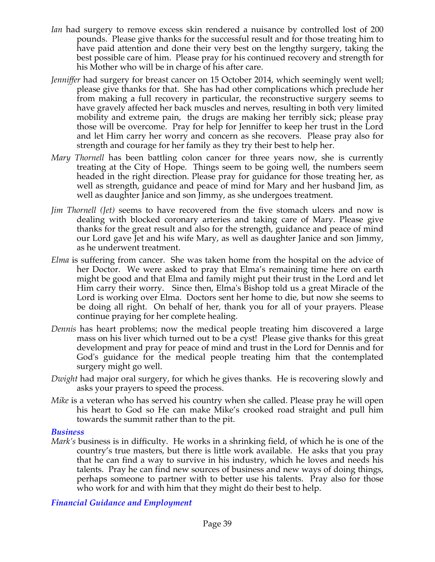- *Ian* had surgery to remove excess skin rendered a nuisance by controlled lost of 200 pounds. Please give thanks for the successful result and for those treating him to have paid attention and done their very best on the lengthy surgery, taking the best possible care of him. Please pray for his continued recovery and strength for his Mother who will be in charge of his after care.
- *Jenniffer* had surgery for breast cancer on 15 October 2014, which seemingly went well; please give thanks for that. She has had other complications which preclude her from making a full recovery in particular, the reconstructive surgery seems to have gravely affected her back muscles and nerves, resulting in both very limited mobility and extreme pain, the drugs are making her terribly sick; please pray those will be overcome. Pray for help for Jenniffer to keep her trust in the Lord and let Him carry her worry and concern as she recovers. Please pray also for strength and courage for her family as they try their best to help her.
- *Mary Thornell* has been battling colon cancer for three years now, she is currently treating at the City of Hope. Things seem to be going well, the numbers seem headed in the right direction. Please pray for guidance for those treating her, as well as strength, guidance and peace of mind for Mary and her husband Jim, as well as daughter Janice and son Jimmy, as she undergoes treatment.
- *Jim Thornell (Jet)* seems to have recovered from the five stomach ulcers and now is dealing with blocked coronary arteries and taking care of Mary. Please give thanks for the great result and also for the strength, guidance and peace of mind our Lord gave Jet and his wife Mary, as well as daughter Janice and son Jimmy, as he underwent treatment.
- *Elma* is suffering from cancer. She was taken home from the hospital on the advice of her Doctor. We were asked to pray that Elma's remaining time here on earth might be good and that Elma and family might put their trust in the Lord and let Him carry their worry. Since then, Elma's Bishop told us a great Miracle of the Lord is working over Elma. Doctors sent her home to die, but now she seems to be doing all right. On behalf of her, thank you for all of your prayers. Please continue praying for her complete healing.
- *Dennis* has heart problems; now the medical people treating him discovered a large mass on his liver which turned out to be a cyst! Please give thanks for this great development and pray for peace of mind and trust in the Lord for Dennis and for God's guidance for the medical people treating him that the contemplated surgery might go well.
- *Dwight* had major oral surgery, for which he gives thanks. He is recovering slowly and asks your prayers to speed the process.
- *Mike* is a veteran who has served his country when she called. Please pray he will open his heart to God so He can make Mike's crooked road straight and pull him towards the summit rather than to the pit.

#### *Business*

*Mark's* business is in difficulty. He works in a shrinking field, of which he is one of the country's true masters, but there is little work available. He asks that you pray that he can find a way to survive in his industry, which he loves and needs his talents. Pray he can find new sources of business and new ways of doing things, perhaps someone to partner with to better use his talents. Pray also for those who work for and with him that they might do their best to help.

#### *Financial Guidance and Employment*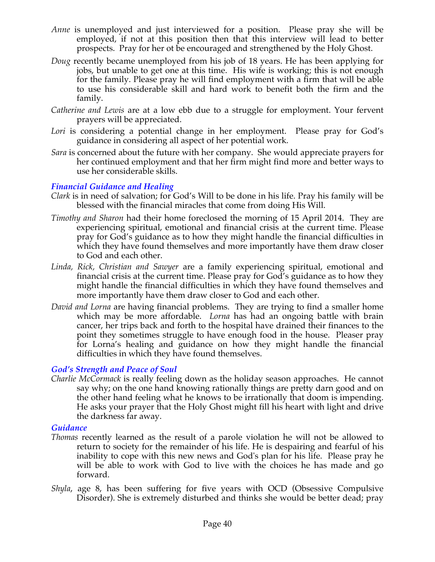- *Anne* is unemployed and just interviewed for a position. Please pray she will be employed, if not at this position then that this interview will lead to better prospects. Pray for her ot be encouraged and strengthened by the Holy Ghost.
- *Doug* recently became unemployed from his job of 18 years. He has been applying for jobs, but unable to get one at this time. His wife is working; this is not enough for the family. Please pray he will find employment with a firm that will be able to use his considerable skill and hard work to benefit both the firm and the family.
- *Catherine and Lewis* are at a low ebb due to a struggle for employment. Your fervent prayers will be appreciated.
- Lori is considering a potential change in her employment. Please pray for God's guidance in considering all aspect of her potential work.
- *Sara* is concerned about the future with her company. She would appreciate prayers for her continued employment and that her firm might find more and better ways to use her considerable skills.

## *Financial Guidance and Healing*

- *Clark* is in need of salvation; for God's Will to be done in his life. Pray his family will be blessed with the financial miracles that come from doing His Will.
- *Timothy and Sharon* had their home foreclosed the morning of 15 April 2014. They are experiencing spiritual, emotional and financial crisis at the current time. Please pray for God's guidance as to how they might handle the financial difficulties in which they have found themselves and more importantly have them draw closer to God and each other.
- *Linda, Rick, Christian and Sawyer* are a family experiencing spiritual, emotional and financial crisis at the current time. Please pray for God's guidance as to how they might handle the financial difficulties in which they have found themselves and more importantly have them draw closer to God and each other.
- *David and Lorna* are having financial problems. They are trying to find a smaller home which may be more affordable. *Lorna* has had an ongoing battle with brain cancer, her trips back and forth to the hospital have drained their finances to the point they sometimes struggle to have enough food in the house. Pleaser pray for Lorna's healing and guidance on how they might handle the financial difficulties in which they have found themselves.

## *God's Strength and Peace of Soul*

*Charlie McCormack* is really feeling down as the holiday season approaches. He cannot say why; on the one hand knowing rationally things are pretty darn good and on the other hand feeling what he knows to be irrationally that doom is impending. He asks your prayer that the Holy Ghost might fill his heart with light and drive the darkness far away.

#### *Guidance*

- *Thomas* recently learned as the result of a parole violation he will not be allowed to return to society for the remainder of his life. He is despairing and fearful of his inability to cope with this new news and God's plan for his life. Please pray he will be able to work with God to live with the choices he has made and go forward.
- *Shyla*, age 8, has been suffering for five years with OCD (Obsessive Compulsive Disorder). She is extremely disturbed and thinks she would be better dead; pray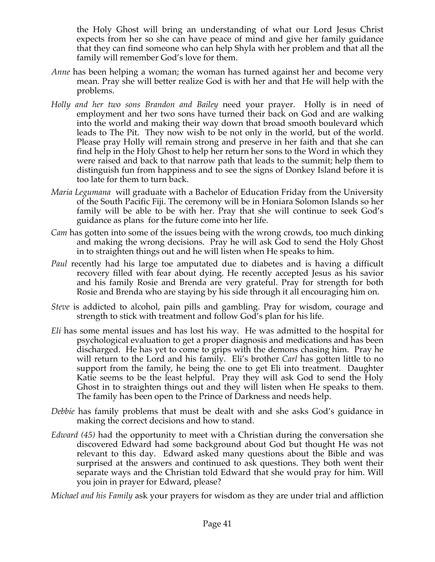the Holy Ghost will bring an understanding of what our Lord Jesus Christ expects from her so she can have peace of mind and give her family guidance that they can find someone who can help Shyla with her problem and that all the family will remember God's love for them.

- *Anne* has been helping a woman; the woman has turned against her and become very mean. Pray she will better realize God is with her and that He will help with the problems.
- *Holly and her two sons Brandon and Bailey* need your prayer. Holly is in need of employment and her two sons have turned their back on God and are walking into the world and making their way down that broad smooth boulevard which leads to The Pit. They now wish to be not only in the world, but of the world. Please pray Holly will remain strong and preserve in her faith and that she can find help in the Holy Ghost to help her return her sons to the Word in which they were raised and back to that narrow path that leads to the summit; help them to distinguish fun from happiness and to see the signs of Donkey Island before it is too late for them to turn back.
- *Maria Legumana* will graduate with a Bachelor of Education Friday from the University of the South Pacific Fiji. The ceremony will be in Honiara Solomon Islands so her family will be able to be with her. Pray that she will continue to seek God's guidance as plans for the future come into her life.
- *Cam* has gotten into some of the issues being with the wrong crowds, too much dinking and making the wrong decisions. Pray he will ask God to send the Holy Ghost in to straighten things out and he will listen when He speaks to him.
- *Paul* recently had his large toe amputated due to diabetes and is having a difficult recovery filled with fear about dying. He recently accepted Jesus as his savior and his family Rosie and Brenda are very grateful. Pray for strength for both Rosie and Brenda who are staying by his side through it all encouraging him on.
- *Steve* is addicted to alcohol, pain pills and gambling. Pray for wisdom, courage and strength to stick with treatment and follow God's plan for his life.
- *Eli* has some mental issues and has lost his way. He was admitted to the hospital for psychological evaluation to get a proper diagnosis and medications and has been discharged. He has yet to come to grips with the demons chasing him. Pray he will return to the Lord and his family. Eli's brother *Carl* has gotten little to no support from the family, he being the one to get Eli into treatment. Daughter Katie seems to be the least helpful. Pray they will ask God to send the Holy Ghost in to straighten things out and they will listen when He speaks to them. The family has been open to the Prince of Darkness and needs help.
- *Debbie* has family problems that must be dealt with and she asks God's guidance in making the correct decisions and how to stand.
- *Edward (45)* had the opportunity to meet with a Christian during the conversation she discovered Edward had some background about God but thought He was not relevant to this day. Edward asked many questions about the Bible and was surprised at the answers and continued to ask questions. They both went their separate ways and the Christian told Edward that she would pray for him. Will you join in prayer for Edward, please?

*Michael and his Family* ask your prayers for wisdom as they are under trial and affliction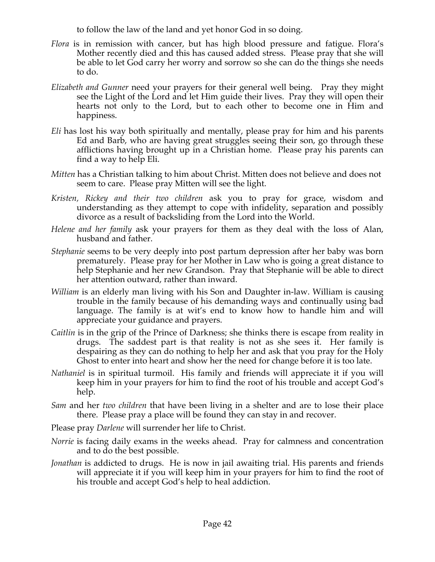to follow the law of the land and yet honor God in so doing.

- *Flora* is in remission with cancer, but has high blood pressure and fatigue. Flora's Mother recently died and this has caused added stress. Please pray that she will be able to let God carry her worry and sorrow so she can do the things she needs to do.
- *Elizabeth and Gunner* need your prayers for their general well being. Pray they might see the Light of the Lord and let Him guide their lives. Pray they will open their hearts not only to the Lord, but to each other to become one in Him and happiness.
- *Eli* has lost his way both spiritually and mentally, please pray for him and his parents Ed and Barb, who are having great struggles seeing their son, go through these afflictions having brought up in a Christian home. Please pray his parents can find a way to help Eli.
- *Mitten* has a Christian talking to him about Christ. Mitten does not believe and does not seem to care. Please pray Mitten will see the light.
- *Kristen, Rickey and their two children* ask you to pray for grace, wisdom and understanding as they attempt to cope with infidelity, separation and possibly divorce as a result of backsliding from the Lord into the World.
- *Helene and her family* ask your prayers for them as they deal with the loss of Alan, husband and father.
- *Stephanie* seems to be very deeply into post partum depression after her baby was born prematurely. Please pray for her Mother in Law who is going a great distance to help Stephanie and her new Grandson. Pray that Stephanie will be able to direct her attention outward, rather than inward.
- *William* is an elderly man living with his Son and Daughter in-law. William is causing trouble in the family because of his demanding ways and continually using bad language. The family is at wit's end to know how to handle him and will appreciate your guidance and prayers.
- *Caitlin* is in the grip of the Prince of Darkness; she thinks there is escape from reality in drugs. The saddest part is that reality is not as she sees it. Her family is despairing as they can do nothing to help her and ask that you pray for the Holy Ghost to enter into heart and show her the need for change before it is too late.
- *Nathaniel* is in spiritual turmoil. His family and friends will appreciate it if you will keep him in your prayers for him to find the root of his trouble and accept God's help.
- *Sam* and her *two children* that have been living in a shelter and are to lose their place there. Please pray a place will be found they can stay in and recover.
- Please pray *Darlene* will surrender her life to Christ.
- *Norrie* is facing daily exams in the weeks ahead. Pray for calmness and concentration and to do the best possible.
- *Jonathan* is addicted to drugs. He is now in jail awaiting trial. His parents and friends will appreciate it if you will keep him in your prayers for him to find the root of his trouble and accept God's help to heal addiction.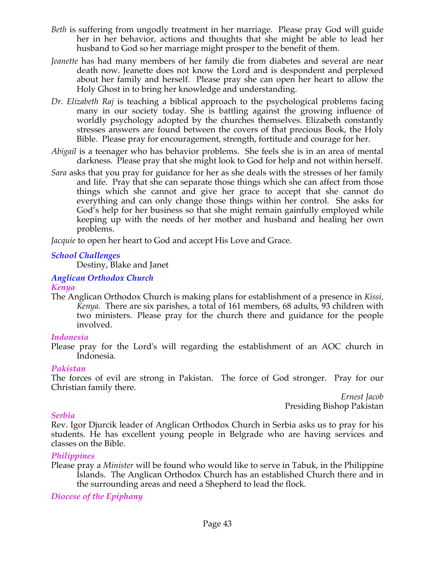- *Beth* is suffering from ungodly treatment in her marriage. Please pray God will guide her in her behavior, actions and thoughts that she might be able to lead her husband to God so her marriage might prosper to the benefit of them.
- *Jeanette* has had many members of her family die from diabetes and several are near death now. Jeanette does not know the Lord and is despondent and perplexed about her family and herself. Please pray she can open her heart to allow the Holy Ghost in to bring her knowledge and understanding.
- *Dr. Elizabeth Raj* is teaching a biblical approach to the psychological problems facing many in our society today. She is battling against the growing influence of worldly psychology adopted by the churches themselves. Elizabeth constantly stresses answers are found between the covers of that precious Book, the Holy Bible. Please pray for encouragement, strength, fortitude and courage for her.
- *Abigail* is a teenager who has behavior problems. She feels she is in an area of mental darkness. Please pray that she might look to God for help and not within herself.
- *Sara* asks that you pray for guidance for her as she deals with the stresses of her family and life. Pray that she can separate those things which she can affect from those things which she cannot and give her grace to accept that she cannot do everything and can only change those things within her control. She asks for God's help for her business so that she might remain gainfully employed while keeping up with the needs of her mother and husband and healing her own problems.

*Jacquie* to open her heart to God and accept His Love and Grace.

#### *School Challenges*

Destiny, Blake and Janet

#### *Anglican Orthodox Church*

#### *Kenya*

The Anglican Orthodox Church is making plans for establishment of a presence in *Kissi, Kenya.* There are six parishes, a total of 161 members, 68 adults, 93 children with two ministers. Please pray for the church there and guidance for the people involved.

#### *Indonesia*

Please pray for the Lord's will regarding the establishment of an AOC church in Indonesia.

#### *Pakistan*

The forces of evil are strong in Pakistan. The force of God stronger. Pray for our Christian family there.

> *Ernest Jacob* Presiding Bishop Pakistan

#### *Serbia*

Rev. Igor Djurcik leader of Anglican Orthodox Church in Serbia asks us to pray for his students. He has excellent young people in Belgrade who are having services and classes on the Bible.

#### *Philippines*

Please pray a *Minister* will be found who would like to serve in Tabuk, in the Philippine Islands. The Anglican Orthodox Church has an established Church there and in the surrounding areas and need a Shepherd to lead the flock*.*

*Diocese of the Epiphany*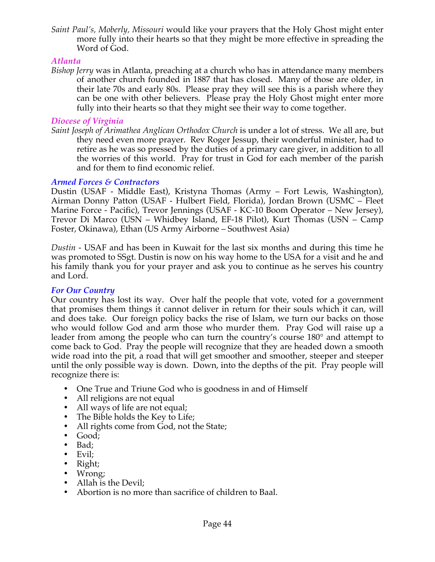*Saint Paul's, Moberly, Missouri* would like your prayers that the Holy Ghost might enter more fully into their hearts so that they might be more effective in spreading the Word of God.

#### *Atlanta*

*Bishop Jerry* was in Atlanta, preaching at a church who has in attendance many members of another church founded in 1887 that has closed. Many of those are older, in their late 70s and early 80s. Please pray they will see this is a parish where they can be one with other believers. Please pray the Holy Ghost might enter more fully into their hearts so that they might see their way to come together.

## *Diocese of Virginia*

*Saint Joseph of Arimathea Anglican Orthodox Church* is under a lot of stress. We all are, but they need even more prayer. Rev Roger Jessup, their wonderful minister, had to retire as he was so pressed by the duties of a primary care giver, in addition to all the worries of this world. Pray for trust in God for each member of the parish and for them to find economic relief.

## *Armed Forces & Contractors*

Dustin (USAF - Middle East), Kristyna Thomas (Army – Fort Lewis, Washington), Airman Donny Patton (USAF - Hulbert Field, Florida), Jordan Brown (USMC – Fleet Marine Force - Pacific), Trevor Jennings (USAF - KC-10 Boom Operator – New Jersey), Trevor Di Marco (USN – Whidbey Island, EF-18 Pilot), Kurt Thomas (USN – Camp Foster, Okinawa), Ethan (US Army Airborne – Southwest Asia)

*Dustin* - USAF and has been in Kuwait for the last six months and during this time he was promoted to SSgt. Dustin is now on his way home to the USA for a visit and he and his family thank you for your prayer and ask you to continue as he serves his country and Lord.

## *For Our Country*

Our country has lost its way. Over half the people that vote, voted for a government that promises them things it cannot deliver in return for their souls which it can, will and does take. Our foreign policy backs the rise of Islam, we turn our backs on those who would follow God and arm those who murder them. Pray God will raise up a leader from among the people who can turn the country's course 180° and attempt to come back to God. Pray the people will recognize that they are headed down a smooth wide road into the pit, a road that will get smoother and smoother, steeper and steeper until the only possible way is down. Down, into the depths of the pit. Pray people will recognize there is:

- One True and Triune God who is goodness in and of Himself
- All religions are not equal
- All ways of life are not equal;
- The Bible holds the Key to Life;
- All rights come from God, not the State;
- Good;<br>• Bad·
- Bad;
- Evil;
- Right;
- Wrong;
- Allah is the Devil;
- Abortion is no more than sacrifice of children to Baal.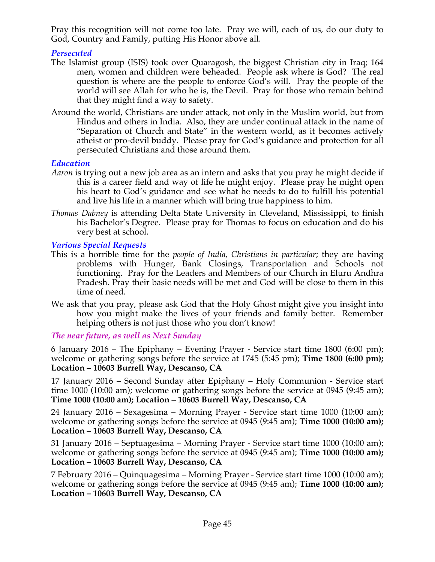Pray this recognition will not come too late. Pray we will, each of us, do our duty to God, Country and Family, putting His Honor above all.

## *Persecuted*

- The Islamist group (ISIS) took over Quaragosh, the biggest Christian city in Iraq; 164 men, women and children were beheaded. People ask where is God? The real question is where are the people to enforce God's will. Pray the people of the world will see Allah for who he is, the Devil. Pray for those who remain behind that they might find a way to safety.
- Around the world, Christians are under attack, not only in the Muslim world, but from Hindus and others in India. Also, they are under continual attack in the name of "Separation of Church and State" in the western world, as it becomes actively atheist or pro-devil buddy. Please pray for God's guidance and protection for all persecuted Christians and those around them.

#### *Education*

- *Aaron* is trying out a new job area as an intern and asks that you pray he might decide if this is a career field and way of life he might enjoy. Please pray he might open his heart to God's guidance and see what he needs to do to fulfill his potential and live his life in a manner which will bring true happiness to him.
- *Thomas Dabney* is attending Delta State University in Cleveland, Mississippi, to finish his Bachelor's Degree. Please pray for Thomas to focus on education and do his very best at school.

## *Various Special Requests*

- This is a horrible time for the *people of India, Christians in particular*; they are having problems with Hunger, Bank Closings, Transportation and Schools not functioning. Pray for the Leaders and Members of our Church in Eluru Andhra Pradesh. Pray their basic needs will be met and God will be close to them in this time of need.
- We ask that you pray, please ask God that the Holy Ghost might give you insight into how you might make the lives of your friends and family better. Remember helping others is not just those who you don't know!

#### *The near future, as well as Next Sunday*

6 January 2016 – The Epiphany – Evening Prayer - Service start time 1800 (6:00 pm); welcome or gathering songs before the service at 1745 (5:45 pm); **Time 1800 (6:00 pm); Location – 10603 Burrell Way, Descanso, CA**

17 January 2016 – Second Sunday after Epiphany – Holy Communion - Service start time 1000 (10:00 am); welcome or gathering songs before the service at 0945 (9:45 am); **Time 1000 (10:00 am); Location – 10603 Burrell Way, Descanso, CA**

24 January 2016 – Sexagesima – Morning Prayer - Service start time 1000 (10:00 am); welcome or gathering songs before the service at 0945 (9:45 am); **Time 1000 (10:00 am); Location – 10603 Burrell Way, Descanso, CA**

31 January 2016 – Septuagesima – Morning Prayer - Service start time 1000 (10:00 am); welcome or gathering songs before the service at 0945 (9:45 am); **Time 1000 (10:00 am); Location – 10603 Burrell Way, Descanso, CA**

7 February 2016 – Quinquagesima – Morning Prayer - Service start time 1000 (10:00 am); welcome or gathering songs before the service at 0945 (9:45 am); **Time 1000 (10:00 am); Location – 10603 Burrell Way, Descanso, CA**